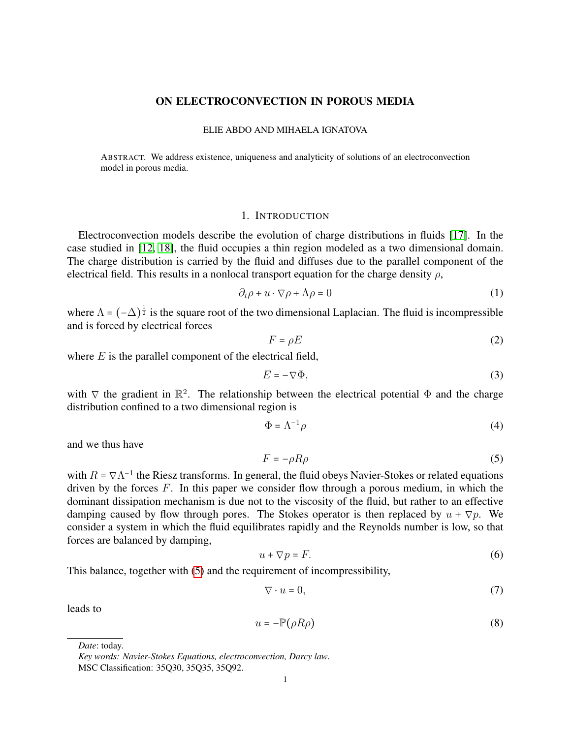### ON ELECTROCONVECTION IN POROUS MEDIA

#### ELIE ABDO AND MIHAELA IGNATOVA

ABSTRACT. We address existence, uniqueness and analyticity of solutions of an electroconvection model in porous media.

### 1. INTRODUCTION

Electroconvection models describe the evolution of charge distributions in fluids [\[17\]](#page-26-0). In the case studied in [\[12,](#page-26-1) [18\]](#page-26-2), the fluid occupies a thin region modeled as a two dimensional domain. The charge distribution is carried by the fluid and diffuses due to the parallel component of the electrical field. This results in a nonlocal transport equation for the charge density  $\rho$ ,

<span id="page-0-2"></span>
$$
\partial_t \rho + u \cdot \nabla \rho + \Lambda \rho = 0 \tag{1}
$$

where  $\Lambda = (-\Delta)^{\frac{1}{2}}$  is the square root of the two dimensional Laplacian. The fluid is incompressible and is forced by electrical forces

$$
F = \rho E \tag{2}
$$

where  $E$  is the parallel component of the electrical field,

$$
E = -\nabla \Phi,\tag{3}
$$

with  $\nabla$  the gradient in  $\mathbb{R}^2$ . The relationship between the electrical potential  $\Phi$  and the charge distribution confined to a two dimensional region is

$$
\Phi = \Lambda^{-1} \rho \tag{4}
$$

and we thus have

<span id="page-0-0"></span>
$$
F = -\rho R \rho \tag{5}
$$

with  $R = \nabla \Lambda^{-1}$  the Riesz transforms. In general, the fluid obeys Navier-Stokes or related equations driven by the forces  $F$ . In this paper we consider flow through a porous medium, in which the dominant dissipation mechanism is due not to the viscosity of the fluid, but rather to an effective damping caused by flow through pores. The Stokes operator is then replaced by  $u + \nabla p$ . We consider a system in which the fluid equilibrates rapidly and the Reynolds number is low, so that forces are balanced by damping,

$$
u + \nabla p = F. \tag{6}
$$

This balance, together with [\(5\)](#page-0-0) and the requirement of incompressibility,

$$
\nabla \cdot u = 0,\tag{7}
$$

leads to

<span id="page-0-1"></span>
$$
u = -\mathbb{P}(\rho R \rho) \tag{8}
$$

*Date*: today.

*Key words: Navier-Stokes Equations, electroconvection, Darcy law.* MSC Classification: 35Q30, 35Q35, 35Q92.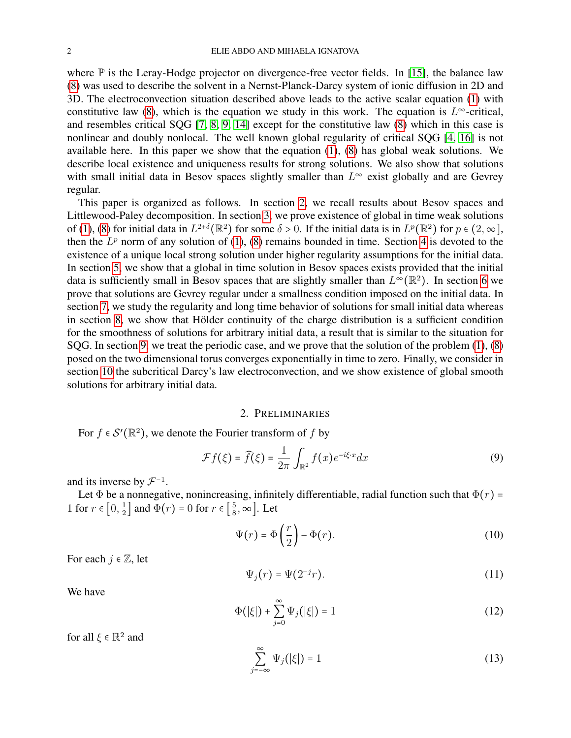where  $\mathbb P$  is the Leray-Hodge projector on divergence-free vector fields. In [\[15\]](#page-26-3), the balance law [\(8\)](#page-0-1) was used to describe the solvent in a Nernst-Planck-Darcy system of ionic diffusion in 2D and 3D. The electroconvection situation described above leads to the active scalar equation [\(1\)](#page-0-2) with constitutive law [\(8\)](#page-0-1), which is the equation we study in this work. The equation is  $L^{\infty}$ -critical, and resembles critical SQG [\[7,](#page-26-4) [8,](#page-26-5) [9,](#page-26-6) [14\]](#page-26-7) except for the constitutive law [\(8\)](#page-0-1) which in this case is nonlinear and doubly nonlocal. The well known global regularity of critical SQG [\[4,](#page-26-8) [16\]](#page-26-9) is not available here. In this paper we show that the equation [\(1\)](#page-0-2), [\(8\)](#page-0-1) has global weak solutions. We describe local existence and uniqueness results for strong solutions. We also show that solutions with small initial data in Besov spaces slightly smaller than  $L^{\infty}$  exist globally and are Gevrey regular.

This paper is organized as follows. In section [2,](#page-1-0) we recall results about Besov spaces and Littlewood-Paley decomposition. In section [3,](#page-4-0) we prove existence of global in time weak solutions of [\(1\)](#page-0-2), [\(8\)](#page-0-1) for initial data in  $L^{2+\delta}(\mathbb{R}^2)$  for some  $\delta > 0$ . If the initial data is in  $L^p(\mathbb{R}^2)$  for  $p \in (2,\infty]$ , then the  $L^p$  norm of any solution of [\(1\)](#page-0-2), [\(8\)](#page-0-1) remains bounded in time. Section [4](#page-5-0) is devoted to the existence of a unique local strong solution under higher regularity assumptions for the initial data. In section [5,](#page-5-1) we show that a global in time solution in Besov spaces exists provided that the initial data is sufficiently small in Besov spaces that are slightly smaller than  $L^{\infty}(\mathbb{R}^2)$ . In section [6](#page-10-0) we prove that solutions are Gevrey regular under a smallness condition imposed on the initial data. In section [7,](#page-12-0) we study the regularity and long time behavior of solutions for small initial data whereas in section [8,](#page-16-0) we show that Hölder continuity of the charge distribution is a sufficient condition for the smoothness of solutions for arbitrary initial data, a result that is similar to the situation for SQG. In section [9,](#page-17-0) we treat the periodic case, and we prove that the solution of the problem [\(1\)](#page-0-2), [\(8\)](#page-0-1) posed on the two dimensional torus converges exponentially in time to zero. Finally, we consider in section [10](#page-19-0) the subcritical Darcy's law electroconvection, and we show existence of global smooth solutions for arbitrary initial data.

#### 2. PRELIMINARIES

<span id="page-1-0"></span>For  $f \in \mathcal{S}'(\mathbb{R}^2)$ , we denote the Fourier transform of f by

$$
\mathcal{F}f(\xi) = \widehat{f}(\xi) = \frac{1}{2\pi} \int_{\mathbb{R}^2} f(x) e^{-i\xi \cdot x} dx \tag{9}
$$

and its inverse by  $\mathcal{F}^{-1}$ .

Let  $\Phi$  be a nonnegative, nonincreasing, infinitely differentiable, radial function such that  $\Phi(r)$  = 1 for  $r \in \left[0, \frac{1}{2}\right]$  $\frac{1}{2}$  and  $\Phi(r) = 0$  for  $r \in \left[\frac{5}{8}\right]$  $\frac{5}{8}, \infty$ . Let

$$
\Psi(r) = \Phi\left(\frac{r}{2}\right) - \Phi(r). \tag{10}
$$

For each  $j \in \mathbb{Z}$ , let

$$
\Psi_j(r) = \Psi(2^{-j}r). \tag{11}
$$

We have

$$
\Phi(|\xi|) + \sum_{j=0}^{\infty} \Psi_j(|\xi|) = 1
$$
\n(12)

for all  $\xi \in \mathbb{R}^2$  and

$$
\sum_{j=-\infty}^{\infty} \Psi_j(|\xi|) = 1 \tag{13}
$$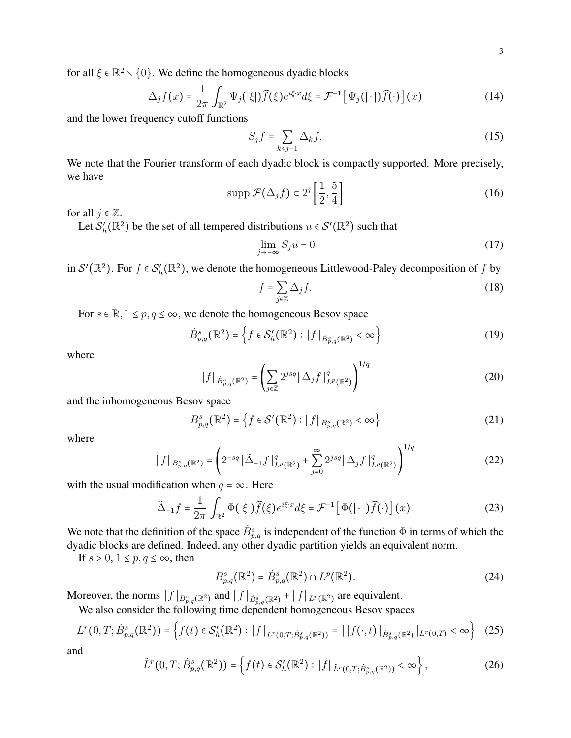for all  $\xi \in \mathbb{R}^2 \setminus \{0\}$ . We define the homogeneous dyadic blocks

$$
\Delta_j f(x) = \frac{1}{2\pi} \int_{\mathbb{R}^2} \Psi_j(|\xi|) \widehat{f}(\xi) e^{i\xi \cdot x} d\xi = \mathcal{F}^{-1} \left[ \Psi_j(|\cdot|) \widehat{f}(\cdot) \right](x)
$$
 (14)

and the lower frequency cutoff functions

$$
S_j f = \sum_{k \le j-1} \Delta_k f. \tag{15}
$$

We note that the Fourier transform of each dyadic block is compactly supported. More precisely, we have

<span id="page-2-1"></span>
$$
\operatorname{supp} \mathcal{F}(\Delta_j f) \subset 2^j \left[ \frac{1}{2}, \frac{5}{4} \right] \tag{16}
$$

for all  $j \in \mathbb{Z}$ .

Let  $\mathcal{S}'_h$  $h'(k^2)$  be the set of all tempered distributions  $u \in \mathcal{S}'(\mathbb{R}^2)$  such that

$$
\lim_{j \to -\infty} S_j u = 0 \tag{17}
$$

in  $S'(\mathbb{R}^2)$ . For  $f \in S'_h$  $h'_h(\mathbb{R}^2)$ , we denote the homogeneous Littlewood-Paley decomposition of f by

$$
f = \sum_{j \in \mathbb{Z}} \Delta_j f. \tag{18}
$$

 $\overline{1}$ 

For  $s \in \mathbb{R}, 1 \leq p, q \leq \infty$ , we denote the homogeneous Besov space

$$
\dot{B}_{p,q}^{s}(\mathbb{R}^{2}) = \left\{ f \in \mathcal{S}_{h}'(\mathbb{R}^{2}) : \| f \|_{\dot{B}_{p,q}^{s}(\mathbb{R}^{2})} < \infty \right\}
$$
(19)

where

$$
\|f\|_{\dot{B}^s_{p,q}(\mathbb{R}^2)} = \left(\sum_{j\in\mathbb{Z}} 2^{jsq} \|\Delta_j f\|_{L^p(\mathbb{R}^2)}^q\right)^{1/q}
$$
(20)

and the inhomogeneous Besov space

$$
B_{p,q}^{s}(\mathbb{R}^{2}) = \left\{ f \in \mathcal{S}'(\mathbb{R}^{2}) : \|f\|_{B_{p,q}^{s}(\mathbb{R}^{2})} < \infty \right\}
$$
 (21)

where

$$
||f||_{B_{p,q}^s(\mathbb{R}^2)} = \left(2^{-sq}||\tilde{\Delta}_{-1}f||_{L^p(\mathbb{R}^2)}^q + \sum_{j=0}^{\infty} 2^{jsq}||\Delta_j f||_{L^p(\mathbb{R}^2)}^q\right)^{1/q}
$$
(22)

with the usual modification when  $q = \infty$ . Here

$$
\tilde{\Delta}_{-1}f = \frac{1}{2\pi} \int_{\mathbb{R}^2} \Phi(|\xi|) \widehat{f}(\xi) e^{i\xi \cdot x} d\xi = \mathcal{F}^{-1} \left[ \Phi(|\cdot|) \widehat{f}(\cdot) \right] (x).
$$
 (23)

We note that the definition of the space  $\dot{B}_{p,q}^s$  is independent of the function  $\Phi$  in terms of which the dyadic blocks are defined. Indeed, any other dyadic partition yields an equivalent norm.

If  $s > 0$ ,  $1 \le p, q \le \infty$ , then

<span id="page-2-0"></span>
$$
B_{p,q}^{s}(\mathbb{R}^{2}) = \dot{B}_{p,q}^{s}(\mathbb{R}^{2}) \cap L^{p}(\mathbb{R}^{2}).
$$
\n(24)

Moreover, the norms  $||f||_{B^s_{p,q}(\mathbb{R}^2)}$  and  $||f||_{\dot{B}^s_{p,q}(\mathbb{R}^2)} + ||f||_{L^p(\mathbb{R}^2)}$  are equivalent.

We also consider the following time dependent homogeneous Besov spaces

$$
L^{r}(0,T;\dot{B}_{p,q}^{s}(\mathbb{R}^{2})) = \left\{ f(t) \in \mathcal{S}_{h}'(\mathbb{R}^{2}) : \|f\|_{L^{r}(0,T;\dot{B}_{p,q}^{s}(\mathbb{R}^{2}))} = \|f(\cdot,t)\|_{\dot{B}_{p,q}^{s}(\mathbb{R}^{2})} \|_{L^{r}(0,T)} < \infty \right\}
$$
 (25)

$$
\tilde{L}^r(0,T;\dot{B}_{p,q}^s(\mathbb{R}^2)) = \left\{ f(t) \in \mathcal{S}'_h(\mathbb{R}^2) : \|f\|_{\tilde{L}^r(0,T;\dot{B}_{p,q}^s(\mathbb{R}^2))} < \infty \right\},\tag{26}
$$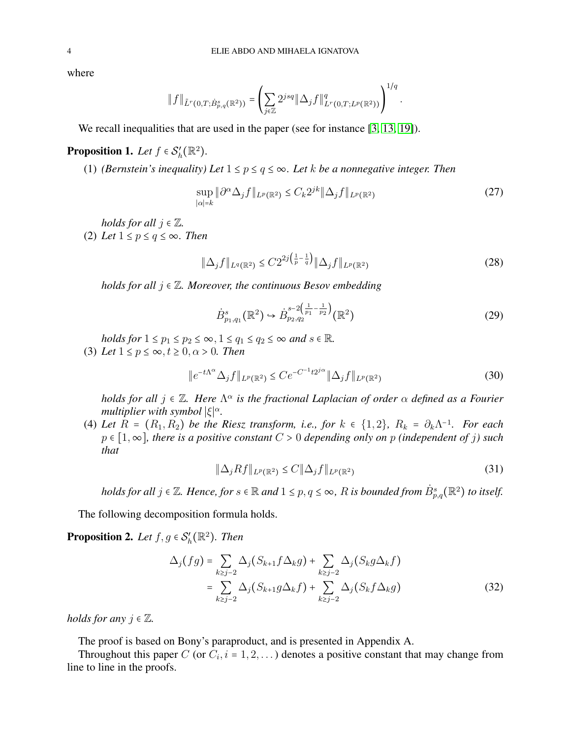where

$$
\|f\|_{\tilde{L}^r(0,T;\dot{B}_{p,q}^s(\mathbb{R}^2))}=\left(\sum_{j\in\mathbb{Z}}2^{jsq}\|\Delta_jf\|_{L^r(0,T;L^p(\mathbb{R}^2))}^q\right)^{1/q}.
$$

We recall inequalities that are used in the paper (see for instance [\[3,](#page-26-10) [13,](#page-26-11) [19\]](#page-26-12)).

#### **Proposition 1.** Let  $f \in S_h'$  $'_{h}(\mathbb{R}^{2}).$

(1) *(Bernstein's inequality) Let*  $1 \le p \le q \le \infty$ *. Let k be a nonnegative integer. Then* 

<span id="page-3-1"></span>
$$
\sup_{|\alpha|=k} \|\partial^{\alpha} \Delta_j f\|_{L^p(\mathbb{R}^2)} \le C_k 2^{jk} \|\Delta_j f\|_{L^p(\mathbb{R}^2)}\tag{27}
$$

*holds for all*  $j \in \mathbb{Z}$ *.* 

(2) Let  $1 \leq p \leq q \leq \infty$ . Then

<span id="page-3-3"></span>
$$
\|\Delta_j f\|_{L^q(\mathbb{R}^2)} \le C2^{2j\left(\frac{1}{p}-\frac{1}{q}\right)} \|\Delta_j f\|_{L^p(\mathbb{R}^2)}\tag{28}
$$

*holds for all* j ∈ Z*. Moreover, the continuous Besov embedding*

<span id="page-3-5"></span>
$$
\dot{B}_{p_1,q_1}^s(\mathbb{R}^2) \hookrightarrow \dot{B}_{p_2,q_2}^{s-2\left(\frac{1}{p_1}-\frac{1}{p_2}\right)}(\mathbb{R}^2)
$$
\n(29)

*holds for*  $1 \leq p_1 \leq p_2 \leq \infty$ ,  $1 \leq q_1 \leq q_2 \leq \infty$  *and*  $s \in \mathbb{R}$ *.* (3) Let  $1 \leq p \leq \infty$ ,  $t \geq 0$ ,  $\alpha > 0$ . Then

<span id="page-3-0"></span>
$$
||e^{-t\Lambda^{\alpha}}\Delta_{j}f||_{L^{p}(\mathbb{R}^{2})} \leq Ce^{-C^{-1}t2^{j\alpha}}||\Delta_{j}f||_{L^{p}(\mathbb{R}^{2})}
$$
\n(30)

*holds for all*  $j \in \mathbb{Z}$ *. Here*  $\Lambda^{\alpha}$  *is the fractional Laplacian of order*  $\alpha$  *defined as a Fourier multiplier with symbol*  $|\xi|^\alpha$ .

(4) Let  $R = (R_1, R_2)$  be the Riesz transform, i.e., for  $k \in \{1, 2\}$ ,  $R_k = \partial_k \Lambda^{-1}$ . For each p ∈ [1,∞]*, there is a positive constant* C > 0 *depending only on* p *(independent of* j*) such that*

<span id="page-3-4"></span><span id="page-3-2"></span>
$$
\|\Delta_j Rf\|_{L^p(\mathbb{R}^2)} \le C \|\Delta_j f\|_{L^p(\mathbb{R}^2)}\tag{31}
$$

*holds for all*  $j \in \mathbb{Z}$ *. Hence, for*  $s \in \mathbb{R}$  and  $1 \leq p, q \leq \infty$ ,  $R$  is bounded from  $\dot{B}^s_{p,q}(\mathbb{R}^2)$  to itself.

The following decomposition formula holds.

<span id="page-3-6"></span>**Proposition 2.** Let  $f, g \in S_h'$  $J'_h(\mathbb{R}^2)$ . Then

$$
\Delta_j(fg) = \sum_{k \ge j-2} \Delta_j (S_{k+1} f \Delta_k g) + \sum_{k \ge j-2} \Delta_j (S_k g \Delta_k f)
$$
  
= 
$$
\sum_{k \ge j-2} \Delta_j (S_{k+1} g \Delta_k f) + \sum_{k \ge j-2} \Delta_j (S_k f \Delta_k g)
$$
 (32)

*holds for any*  $j \in \mathbb{Z}$ .

The proof is based on Bony's paraproduct, and is presented in Appendix A.

Throughout this paper C (or  $C_i$ ,  $i = 1, 2, \ldots$ ) denotes a positive constant that may change from line to line in the proofs.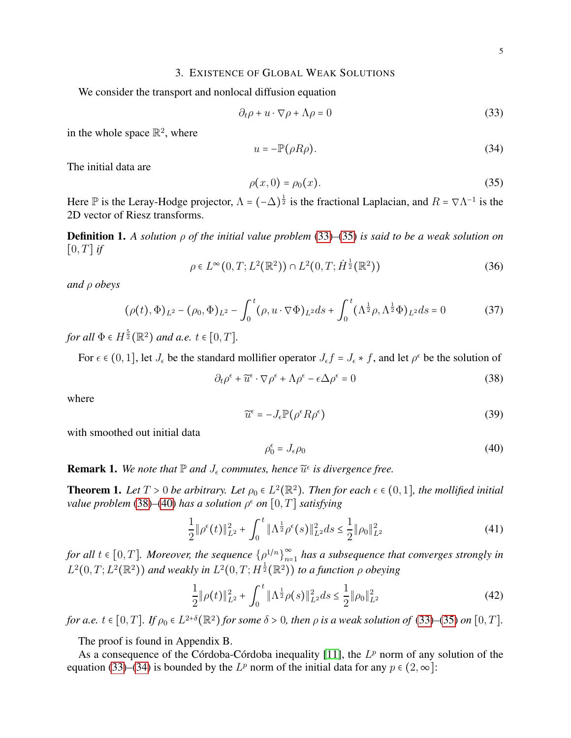### 3. EXISTENCE OF GLOBAL WEAK SOLUTIONS

<span id="page-4-0"></span>We consider the transport and nonlocal diffusion equation

<span id="page-4-1"></span>
$$
\partial_t \rho + u \cdot \nabla \rho + \Lambda \rho = 0 \tag{33}
$$

in the whole space  $\mathbb{R}^2$ , where

<span id="page-4-5"></span>
$$
u = -\mathbb{P}(\rho R \rho). \tag{34}
$$

The initial data are

<span id="page-4-2"></span>
$$
\rho(x,0) = \rho_0(x). \tag{35}
$$

Here  $\mathbb P$  is the Leray-Hodge projector,  $\Lambda = (-\Delta)^{\frac{1}{2}}$  is the fractional Laplacian, and  $R = \nabla \Lambda^{-1}$  is the 2D vector of Riesz transforms.

Definition 1. *A solution* ρ *of the initial value problem* [\(33\)](#page-4-1)*–*[\(35\)](#page-4-2) *is said to be a weak solution on*  $[0, T]$  *if* 

$$
\rho \in L^{\infty}(0, T; L^{2}(\mathbb{R}^{2})) \cap L^{2}(0, T; \dot{H}^{\frac{1}{2}}(\mathbb{R}^{2}))
$$
\n(36)

*and* ρ *obeys*

$$
(\rho(t), \Phi)_{L^2} - (\rho_0, \Phi)_{L^2} - \int_0^t (\rho, u \cdot \nabla \Phi)_{L^2} ds + \int_0^t (\Lambda^{\frac{1}{2}} \rho, \Lambda^{\frac{1}{2}} \Phi)_{L^2} ds = 0
$$
 (37)

*for all*  $\Phi \in H^{\frac{5}{2}}(\mathbb{R}^2)$  *and a.e.*  $t \in [0, T]$ .

For  $\epsilon \in (0,1]$ , let  $J_{\epsilon}$  be the standard mollifier operator  $J_{\epsilon}f = J_{\epsilon} * f$ , and let  $\rho^{\epsilon}$  be the solution of

<span id="page-4-3"></span>
$$
\partial_t \rho^\epsilon + \widetilde{u}^\epsilon \cdot \nabla \rho^\epsilon + \Lambda \rho^\epsilon - \epsilon \Delta \rho^\epsilon = 0 \tag{38}
$$

where

$$
\widetilde{u}^{\epsilon} = -J_{\epsilon} \mathbb{P}(\rho^{\epsilon} R \rho^{\epsilon}) \tag{39}
$$

with smoothed out initial data

<span id="page-4-4"></span>
$$
\rho_0^{\epsilon} = J_{\epsilon} \rho_0 \tag{40}
$$

**Remark 1.** We note that  $\mathbb P$  and  $J_\epsilon$  commutes, hence  $\widetilde{u}^\epsilon$  is divergence free.

<span id="page-4-6"></span>**Theorem 1.** Let  $T > 0$  be arbitrary. Let  $\rho_0 \in L^2(\mathbb{R}^2)$ . Then for each  $\epsilon \in (0,1]$ , the mollified initial *value problem* [\(38\)](#page-4-3)–[\(40\)](#page-4-4) *has a solution*  $\rho^{\epsilon}$  *on*  $[0, T]$  *satisfying* 

<span id="page-4-7"></span>
$$
\frac{1}{2} \|\rho^{\epsilon}(t)\|_{L^{2}}^{2} + \int_{0}^{t} \|\Lambda^{\frac{1}{2}}\rho^{\epsilon}(s)\|_{L^{2}}^{2}ds \le \frac{1}{2} \|\rho_{0}\|_{L^{2}}^{2}
$$
\n(41)

*for all*  $t \in [0, T]$ *. Moreover, the sequence*  $\{\rho^{1/n}\}_{n=1}^{\infty}$  $\sum_{n=1}^{\infty}$  has a subsequence that converges strongly in  $L^2(0,T;L^2(\mathbb{R}^2))$  and weakly in  $L^2(0,T;H^{\frac{1}{2}}(\mathbb{R}^2))$  to a function  $\rho$  obeying

<span id="page-4-8"></span>
$$
\frac{1}{2} \|\rho(t)\|_{L^2}^2 + \int_0^t \|\Lambda^{\frac{1}{2}}\rho(s)\|_{L^2}^2 ds \le \frac{1}{2} \|\rho_0\|_{L^2}^2 \tag{42}
$$

*for a.e.*  $t \in [0, T]$ *. If*  $\rho_0 \in L^{2+\delta}(\mathbb{R}^2)$  *for some*  $\delta > 0$ *, then*  $\rho$  *is a weak solution of* [\(33\)](#page-4-1)–[\(35\)](#page-4-2) *on* [0, *T*].

The proof is found in Appendix B.

As a consequence of the Córdoba-Córdoba inequality [\[11\]](#page-26-13), the  $L^p$  norm of any solution of the equation [\(33\)](#page-4-1)–[\(34\)](#page-4-5) is bounded by the  $L^p$  norm of the initial data for any  $p \in (2, \infty]$ :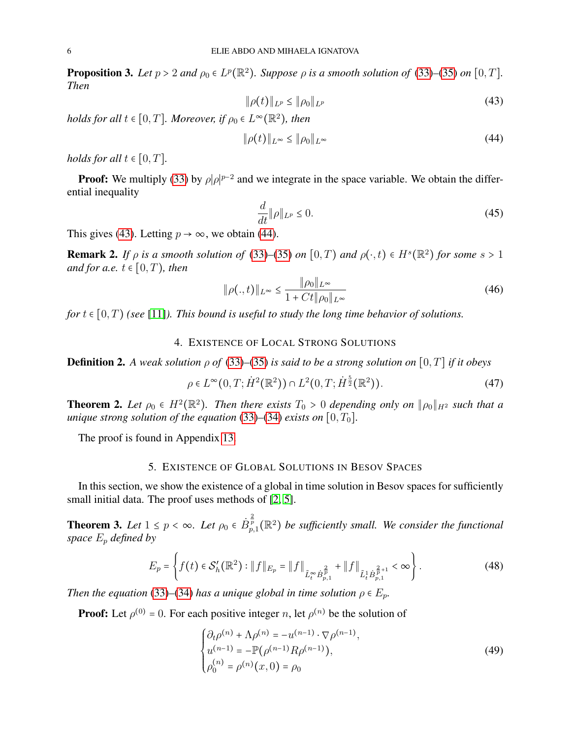<span id="page-5-7"></span>**Proposition 3.** *Let*  $p > 2$  *and*  $\rho_0 \in L^p(\mathbb{R}^2)$ *. Suppose*  $\rho$  *is a smooth solution of* [\(33\)](#page-4-1)–[\(35\)](#page-4-2) *on* [0, *T*]*. Then*

<span id="page-5-2"></span>
$$
\|\rho(t)\|_{L^p} \le \|\rho_0\|_{L^p} \tag{43}
$$

*holds for all*  $t \in [0, T]$ *. Moreover, if*  $\rho_0 \in L^{\infty}(\mathbb{R}^2)$ *, then* 

<span id="page-5-3"></span>
$$
\|\rho(t)\|_{L^{\infty}} \le \|\rho_0\|_{L^{\infty}} \tag{44}
$$

*holds for all*  $t \in [0, T]$ *.* 

**Proof:** We multiply [\(33\)](#page-4-1) by  $\rho |\rho|^{p-2}$  and we integrate in the space variable. We obtain the differential inequality

$$
\frac{d}{dt} \|\rho\|_{L^p} \le 0. \tag{45}
$$

This gives [\(43\)](#page-5-2). Letting  $p \to \infty$ , we obtain [\(44\)](#page-5-3).

<span id="page-5-6"></span>**Remark 2.** *If*  $\rho$  *is a smooth solution of* [\(33\)](#page-4-1)–[\(35\)](#page-4-2) *on* [0, T) *and*  $\rho(\cdot, t) \in H^s(\mathbb{R}^2)$  *for some*  $s > 1$ *and for a.e.*  $t \in [0, T)$ *, then* 

$$
\|\rho(.,t)\|_{L^{\infty}} \le \frac{\|\rho_0\|_{L^{\infty}}}{1 + Ct\|\rho_0\|_{L^{\infty}}}
$$
(46)

*for*  $t \in [0, T)$  *(see* [\[11\]](#page-26-13)*). This bound is useful to study the long time behavior of solutions.* 

## 4. EXISTENCE OF LOCAL STRONG SOLUTIONS

<span id="page-5-0"></span>**Definition 2.** A weak solution  $\rho$  of [\(33\)](#page-4-1)–[\(35\)](#page-4-2) is said to be a strong solution on [0, T] if it obeys

$$
\rho \in L^{\infty}(0, T; \dot{H}^{2}(\mathbb{R}^{2})) \cap L^{2}(0, T; \dot{H}^{\frac{5}{2}}(\mathbb{R}^{2})).
$$
\n(47)

<span id="page-5-8"></span>**Theorem 2.** Let  $\rho_0 \in H^2(\mathbb{R}^2)$ . Then there exists  $T_0 > 0$  depending only on  $\|\rho_0\|_{H^2}$  such that a *unique strong solution of the equation* [\(33\)](#page-4-1)–[\(34\)](#page-4-5) *exists on* [0,  $T_0$ ].

The proof is found in Appendix [13.](#page-24-0)

## 5. EXISTENCE OF GLOBAL SOLUTIONS IN BESOV SPACES

<span id="page-5-1"></span>In this section, we show the existence of a global in time solution in Besov spaces for sufficiently small initial data. The proof uses methods of [\[2,](#page-26-14) [5\]](#page-26-15).

<span id="page-5-4"></span>**Theorem 3.** Let  $1 \le p < \infty$ . Let  $\rho_0 \in \dot{B}_{p,1}^{\frac{2}{p}}(\mathbb{R}^2)$  be sufficiently small. We consider the functional *space*  $E_p$  *defined by* 

$$
E_p = \left\{ f(t) \in \mathcal{S}'_h(\mathbb{R}^2) : \|f\|_{E_p} = \|f\|_{\tilde{L}_t^\infty \dot{B}_{p,1}^{\frac{2}{p}}} + \|f\|_{\tilde{L}_t^1 \dot{B}_{p,1}^{\frac{2}{p}+1}} < \infty \right\}.
$$
 (48)

*Then the equation* [\(33\)](#page-4-1)–[\(34\)](#page-4-5) *has a unique global in time solution*  $\rho \in E_p$ *.* 

**Proof:** Let  $\rho^{(0)} = 0$ . For each positive integer n, let  $\rho^{(n)}$  be the solution of

<span id="page-5-5"></span>
$$
\begin{cases} \partial_t \rho^{(n)} + \Lambda \rho^{(n)} = -u^{(n-1)} \cdot \nabla \rho^{(n-1)}, \\ u^{(n-1)} = -\mathbb{P}(\rho^{(n-1)} R \rho^{(n-1)}), \\ \rho_0^{(n)} = \rho^{(n)}(x, 0) = \rho_0 \end{cases}
$$
(49)

 $\overline{\phantom{a}}$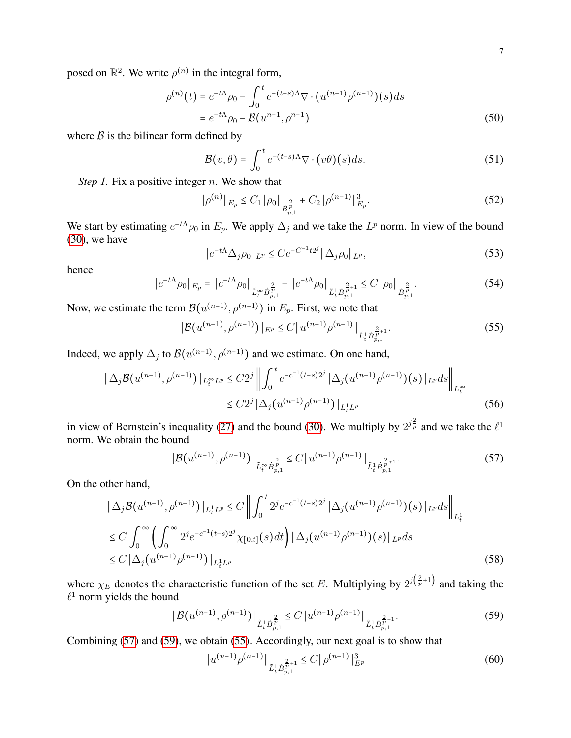posed on  $\mathbb{R}^2$ . We write  $\rho^{(n)}$  in the integral form,

$$
\rho^{(n)}(t) = e^{-t\Lambda}\rho_0 - \int_0^t e^{-(t-s)\Lambda}\nabla \cdot (u^{(n-1)}\rho^{(n-1)})(s)ds
$$
  
=  $e^{-t\Lambda}\rho_0 - \mathcal{B}(u^{n-1}, \rho^{n-1})$  (50)

where  $\beta$  is the bilinear form defined by

$$
\mathcal{B}(v,\theta) = \int_0^t e^{-(t-s)\Lambda} \nabla \cdot (v\theta)(s) ds.
$$
 (51)

*Step 1.* Fix a positive integer *n*. We show that

<span id="page-6-3"></span>
$$
\|\rho^{(n)}\|_{E_p} \le C_1 \|\rho_0\|_{\dot{B}_{p,1}^{\frac{2}{p}}} + C_2 \|\rho^{(n-1)}\|_{E_p}^3. \tag{52}
$$

We start by estimating  $e^{-tA}\rho_0$  in  $E_p$ . We apply  $\Delta_j$  and we take the  $L^p$  norm. In view of the bound [\(30\)](#page-3-0), we have

$$
||e^{-t\Lambda}\Delta_{j}\rho_{0}||_{L^{p}} \leq Ce^{-C^{-1}t^{2j}}||\Delta_{j}\rho_{0}||_{L^{p}},
$$
\n(53)

hence

$$
\|e^{-t\Lambda}\rho_0\|_{E_p} = \|e^{-t\Lambda}\rho_0\|_{\tilde{L}_t^\infty \dot{B}_{p,1}^p} + \|e^{-t\Lambda}\rho_0\|_{\tilde{L}_t^1 \dot{B}_{p,1}^{\frac{2}{p}+1}} \leq C \|\rho_0\|_{\dot{B}_{p,1}^{\frac{2}{p}}}.
$$
\n(54)

Now, we estimate the term  $\mathcal{B}(u^{(n-1)}, \rho^{(n-1)})$  in  $E_p$ . First, we note that

<span id="page-6-2"></span>
$$
\|\mathcal{B}(u^{(n-1)},\rho^{(n-1)})\|_{E^p} \le C \|u^{(n-1)}\rho^{(n-1)}\|_{\tilde{L}_t^1 \dot{B}_{p,1}^{\frac{2}{p}+1}}.\tag{55}
$$

Indeed, we apply  $\Delta_j$  to  $\mathcal{B}(u^{(n-1)}, \rho^{(n-1)})$  and we estimate. On one hand,

$$
\|\Delta_j \mathcal{B}(u^{(n-1)}, \rho^{(n-1)})\|_{L_t^{\infty} L^p} \le C2^j \left\| \int_0^t e^{-c^{-1}(t-s)2^j} \|\Delta_j(u^{(n-1)}\rho^{(n-1)})(s)\|_{L^p} ds \right\|_{L_t^{\infty}}
$$
  

$$
\le C2^j \|\Delta_j(u^{(n-1)}\rho^{(n-1)})\|_{L_t^1 L^p}
$$
 (56)

in view of Bernstein's inequality [\(27\)](#page-3-1) and the bound [\(30\)](#page-3-0). We multiply by  $2^{j\frac{2}{p}}$  and we take the  $\ell^1$ norm. We obtain the bound

<span id="page-6-0"></span>
$$
\|\mathcal{B}(u^{(n-1)},\rho^{(n-1)})\|_{\tilde{L}_t^\infty \dot{B}_{p,1}^{\frac{2}{p}} \le C \|u^{(n-1)}\rho^{(n-1)}\|_{\tilde{L}_t^1 \dot{B}_{p,1}^{\frac{2}{p}+1}}.
$$
\n
$$
(57)
$$

On the other hand,

$$
\|\Delta_j \mathcal{B}(u^{(n-1)}, \rho^{(n-1)})\|_{L_t^1 L^p} \le C \left\| \int_0^t 2^j e^{-c^{-1}(t-s)2^j} \|\Delta_j(u^{(n-1)}\rho^{(n-1)})(s)\|_{L^p} ds \right\|_{L_t^1}
$$
  
\n
$$
\le C \int_0^\infty \left( \int_0^\infty 2^j e^{-c^{-1}(t-s)2^j} \chi_{[0,t]}(s) dt \right) \|\Delta_j(u^{(n-1)}\rho^{(n-1)})(s)\|_{L^p} ds
$$
  
\n
$$
\le C \|\Delta_j(u^{(n-1)}\rho^{(n-1)})\|_{L_t^1 L^p}
$$
\n(58)

where  $\chi_E$  denotes the characteristic function of the set E. Multiplying by  $2^{j(\frac{2}{p}+1)}$  and taking the  $\ell$ <sup>1</sup> norm yields the bound

<span id="page-6-1"></span>
$$
\|\mathcal{B}(u^{(n-1)},\rho^{(n-1)})\|_{\tilde{L}^1_t \dot{B}_{p,1}^{\frac{2}{p}}} \leq C \|u^{(n-1)}\rho^{(n-1)}\|_{\tilde{L}^1_t \dot{B}_{p,1}^{\frac{2}{p}+1}}.
$$
\n(59)

Combining [\(57\)](#page-6-0) and [\(59\)](#page-6-1), we obtain [\(55\)](#page-6-2). Accordingly, our next goal is to show that

<span id="page-6-4"></span>
$$
||u^{(n-1)}\rho^{(n-1)}||_{\tilde{L}^1_t \dot{B}_{p,1}^{\frac{2}{p}+1}} \leq C ||\rho^{(n-1)}||_{E^p}^3 \tag{60}
$$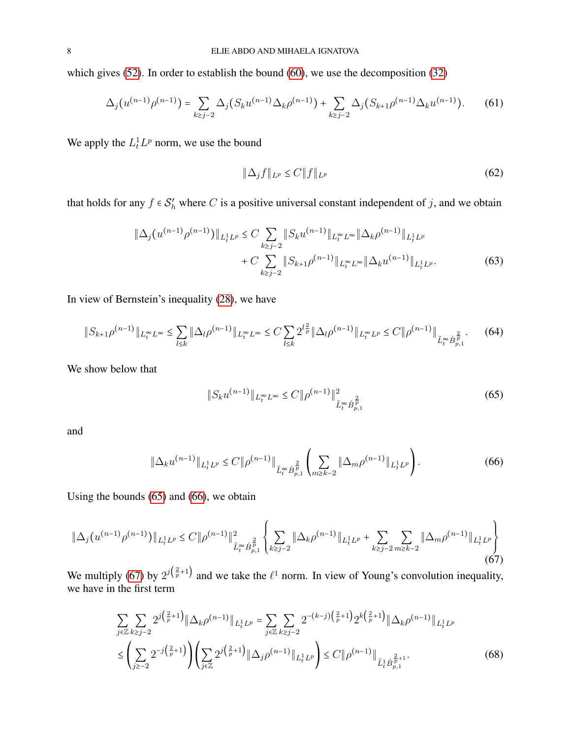which gives [\(52\)](#page-6-3). In order to establish the bound [\(60\)](#page-6-4), we use the decomposition [\(32\)](#page-3-2)

$$
\Delta_j(u^{(n-1)}\rho^{(n-1)}) = \sum_{k \ge j-2} \Delta_j(S_k u^{(n-1)} \Delta_k \rho^{(n-1)}) + \sum_{k \ge j-2} \Delta_j(S_{k+1}\rho^{(n-1)} \Delta_k u^{(n-1)}).
$$
 (61)

We apply the  $L_t^1 L^p$  norm, we use the bound

$$
\|\Delta_j f\|_{L^p} \le C \|f\|_{L^p} \tag{62}
$$

that holds for any  $f \in S_h'$  where C is a positive universal constant independent of j, and we obtain

$$
\|\Delta_j(u^{(n-1)}\rho^{(n-1)})\|_{L_t^1L^p} \le C \sum_{k \ge j-2} \|S_k u^{(n-1)}\|_{L_t^\infty L^\infty} \|\Delta_k \rho^{(n-1)}\|_{L_t^1L^p}
$$
  
+ 
$$
C \sum_{k \ge j-2} \|S_{k+1}\rho^{(n-1)}\|_{L_t^\infty L^\infty} \|\Delta_k u^{(n-1)}\|_{L_t^1L^p}.
$$
 (63)

In view of Bernstein's inequality [\(28\)](#page-3-3), we have

<span id="page-7-4"></span>
$$
\|S_{k+1}\rho^{(n-1)}\|_{L_t^{\infty}L^{\infty}} \le \sum_{l\le k} \|\Delta_l \rho^{(n-1)}\|_{L_t^{\infty}L^{\infty}} \le C \sum_{l\le k} 2^{l\frac{2}{p}} \|\Delta_l \rho^{(n-1)}\|_{L_t^{\infty}L^p} \le C \|\rho^{(n-1)}\|_{\tilde{L}_t^{\infty} \dot{B}_{p,1}^{\frac{2}{p}}}.
$$
(64)

We show below that

<span id="page-7-0"></span>
$$
||S_k u^{(n-1)}||_{L_t^{\infty} L^{\infty}} \le C ||\rho^{(n-1)}||_{\tilde{L}_t^{\infty} \dot{B}_{p,1}^{\frac{2}{p}}}^2
$$
\n(65)

and

<span id="page-7-1"></span>
$$
\|\Delta_k u^{(n-1)}\|_{L_t^1 L^p} \le C \|\rho^{(n-1)}\|_{\tilde{L}_t^\infty \dot{B}_{p,1}^{\frac{2}{p}}} \left(\sum_{m \ge k-2} \|\Delta_m \rho^{(n-1)}\|_{L_t^1 L^p}\right). \tag{66}
$$

Using the bounds [\(65\)](#page-7-0) and [\(66\)](#page-7-1), we obtain

<span id="page-7-2"></span>
$$
\|\Delta_j(u^{(n-1)}\rho^{(n-1)})\|_{L_t^1L^p} \le C \|\rho^{(n-1)}\|^2_{\tilde{L}_t^\infty \dot{B}_{p,1}^{\frac{2}{p}}} \left\{ \sum_{k \ge j-2} \|\Delta_k \rho^{(n-1)}\|_{L_t^1L^p} + \sum_{k \ge j-2} \sum_{m \ge k-2} \|\Delta_m \rho^{(n-1)}\|_{L_t^1L^p} \right\}
$$
(67)

We multiply [\(67\)](#page-7-2) by  $2^{j(\frac{2}{p}+1)}$  and we take the  $\ell^1$  norm. In view of Young's convolution inequality, we have in the first term

<span id="page-7-3"></span>
$$
\sum_{j\in\mathbb{Z}}\sum_{k\geq j-2} 2^{j\left(\frac{2}{p}+1\right)} \|\Delta_{k}\rho^{(n-1)}\|_{L_{t}^{1}L^{p}} = \sum_{j\in\mathbb{Z}}\sum_{k\geq j-2} 2^{-(k-j)\left(\frac{2}{p}+1\right)} 2^{k\left(\frac{2}{p}+1\right)} \|\Delta_{k}\rho^{(n-1)}\|_{L_{t}^{1}L^{p}}
$$
\n
$$
\leq \left(\sum_{j\geq -2} 2^{-j\left(\frac{2}{p}+1\right)} \right) \left(\sum_{j\in\mathbb{Z}} 2^{j\left(\frac{2}{p}+1\right)} \|\Delta_{j}\rho^{(n-1)}\|_{L_{t}^{1}L^{p}}\right) \leq C \|\rho^{(n-1)}\|_{\tilde{L}_{t}^{1}\dot{B}_{p,1}^{\frac{2}{p}+1}}.\tag{68}
$$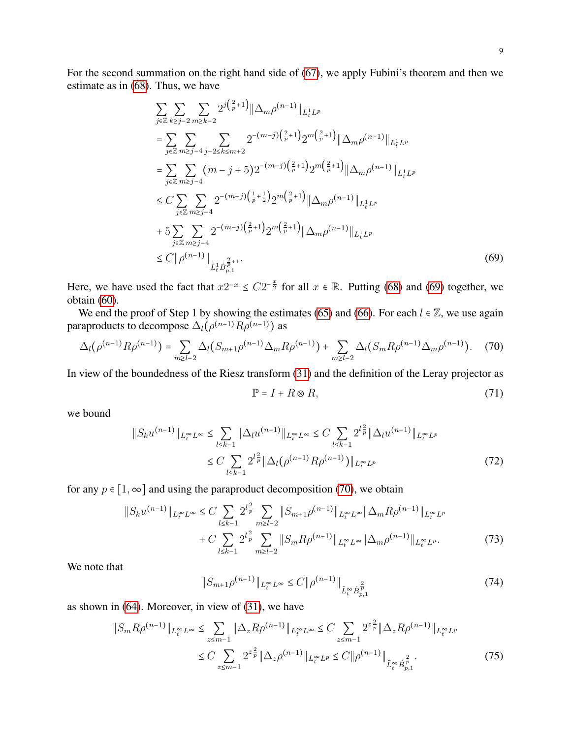$$
\sum_{j\in\mathbb{Z}}\sum_{k\geq j-2}\sum_{m\geq k-2}2^{j(\frac{2}{p}+1)}\|\Delta_m\rho^{(n-1)}\|_{L_t^1L^p}
$$
\n
$$
=\sum_{j\in\mathbb{Z}}\sum_{m\geq j-4}\sum_{j-2\leq k\leq m+2}2^{-(m-j)(\frac{2}{p}+1)}2^{m(\frac{2}{p}+1)}\|\Delta_m\rho^{(n-1)}\|_{L_t^1L^p}
$$
\n
$$
=\sum_{j\in\mathbb{Z}}\sum_{m\geq j-4}(m-j+5)2^{-(m-j)(\frac{2}{p}+1)}2^{m(\frac{2}{p}+1)}\|\Delta_m\rho^{(n-1)}\|_{L_t^1L^p}
$$
\n
$$
\leq C\sum_{j\in\mathbb{Z}}\sum_{m\geq j-4}2^{-(m-j)(\frac{1}{p}+\frac{1}{2})}2^{m(\frac{2}{p}+1)}\|\Delta_m\rho^{(n-1)}\|_{L_t^1L^p}
$$
\n
$$
+5\sum_{j\in\mathbb{Z}}\sum_{m\geq j-4}2^{-(m-j)(\frac{2}{p}+1)}2^{m(\frac{2}{p}+1)}\|\Delta_m\rho^{(n-1)}\|_{L_t^1L^p}
$$
\n
$$
\leq C\|\rho^{(n-1)}\|_{\tilde{L}_t^1\dot{B}_{p,1}^{\frac{2}{p}+1}}.\tag{69}
$$

Here, we have used the fact that  $x2^{-x} \le C2^{-\frac{x}{2}}$  for all  $x \in \mathbb{R}$ . Putting [\(68\)](#page-7-3) and [\(69\)](#page-8-0) together, we obtain [\(60\)](#page-6-4).

We end the proof of Step 1 by showing the estimates [\(65\)](#page-7-0) and [\(66\)](#page-7-1). For each  $l \in \mathbb{Z}$ , we use again paraproducts to decompose  $\Delta_l(\rho^{(n-1)}R\rho^{(n-1)})$  as

<span id="page-8-1"></span>
$$
\Delta_l(\rho^{(n-1)}R\rho^{(n-1)}) = \sum_{m \ge l-2} \Delta_l(S_{m+1}\rho^{(n-1)}\Delta_m R\rho^{(n-1)}) + \sum_{m \ge l-2} \Delta_l(S_m R\rho^{(n-1)}\Delta_m \rho^{(n-1)}).
$$
 (70)

In view of the boundedness of the Riesz transform [\(31\)](#page-3-4) and the definition of the Leray projector as

<span id="page-8-0"></span>
$$
\mathbb{P} = I + R \otimes R,\tag{71}
$$

we bound

$$
||S_k u^{(n-1)}||_{L_t^{\infty} L^{\infty}} \le \sum_{l \le k-1} ||\Delta_l u^{(n-1)}||_{L_t^{\infty} L^{\infty}} \le C \sum_{l \le k-1} 2^{l\frac{2}{p}} ||\Delta_l u^{(n-1)}||_{L_t^{\infty} L^p}
$$
  

$$
\le C \sum_{l \le k-1} 2^{l\frac{2}{p}} ||\Delta_l (\rho^{(n-1)} R \rho^{(n-1)})||_{L_t^{\infty} L^p}
$$
(72)

for any  $p \in [1, \infty]$  and using the paraproduct decomposition [\(70\)](#page-8-1), we obtain

$$
\|S_k u^{(n-1)}\|_{L_t^{\infty} L^{\infty}} \le C \sum_{l \le k-1} 2^{l \frac{2}{p}} \sum_{m \ge l-2} \|S_{m+1} \rho^{(n-1)}\|_{L_t^{\infty} L^{\infty}} \|\Delta_m R \rho^{(n-1)}\|_{L_t^{\infty} L^p}
$$
  
+  $C \sum_{l \le k-1} 2^{l \frac{2}{p}} \sum_{m \ge l-2} \|S_m R \rho^{(n-1)}\|_{L_t^{\infty} L^{\infty}} \|\Delta_m \rho^{(n-1)}\|_{L_t^{\infty} L^p}.$  (73)

We note that

<span id="page-8-2"></span>
$$
||S_{m+1}\rho^{(n-1)}||_{L_t^{\infty}L^{\infty}} \le C ||\rho^{(n-1)}||_{\tilde{L}_t^{\infty} \dot{B}_{p,1}^{\frac{2}{p}}} \tag{74}
$$

as shown in [\(64\)](#page-7-4). Moreover, in view of [\(31\)](#page-3-4), we have

$$
||S_m R \rho^{(n-1)}||_{L_t^{\infty} L^{\infty}} \leq \sum_{z \leq m-1} ||\Delta_z R \rho^{(n-1)}||_{L_t^{\infty} L^{\infty}} \leq C \sum_{z \leq m-1} 2^{z\frac{2}{p}} ||\Delta_z R \rho^{(n-1)}||_{L_t^{\infty} L^p}
$$
  
 
$$
\leq C \sum_{z \leq m-1} 2^{z\frac{2}{p}} ||\Delta_z \rho^{(n-1)}||_{L_t^{\infty} L^p} \leq C ||\rho^{(n-1)}||_{\tilde{L}_t^{\infty} \dot{B}_{p,1}^{\frac{2}{p}}}.
$$
 (75)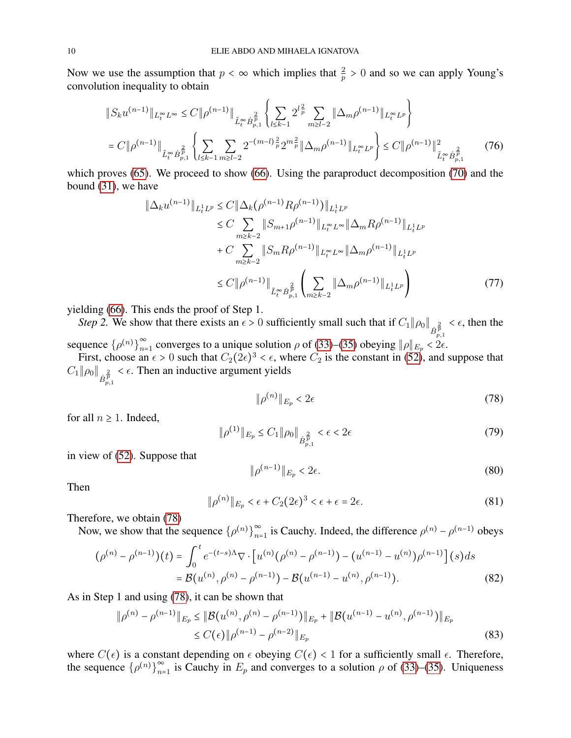Now we use the assumption that  $p < \infty$  which implies that  $\frac{2}{p} > 0$  and so we can apply Young's convolution inequality to obtain

$$
\|S_k u^{(n-1)}\|_{L_t^{\infty} L^{\infty}} \le C \|\rho^{(n-1)}\|_{\tilde{L}_t^{\infty} \dot{B}_{p,1}^{\frac{2}{p}}} \left\{ \sum_{l \le k-1} 2^{l\frac{2}{p}} \sum_{m \ge l-2} \|\Delta_m \rho^{(n-1)}\|_{L_t^{\infty} L^p} \right\}
$$
  
=  $C \|\rho^{(n-1)}\|_{\tilde{L}_t^{\infty} \dot{B}_{p,1}^{\frac{2}{p}}} \left\{ \sum_{l \le k-1} \sum_{m \ge l-2} 2^{-(m-l)\frac{2}{p}} 2^{m\frac{2}{p}} \|\Delta_m \rho^{(n-1)}\|_{L_t^{\infty} L^p} \right\} \le C \|\rho^{(n-1)}\|_{\tilde{L}_t^{\infty} \dot{B}_{p,1}^{\frac{2}{p}}} (76)$ 

which proves [\(65\)](#page-7-0). We proceed to show [\(66\)](#page-7-1). Using the paraproduct decomposition [\(70\)](#page-8-1) and the bound [\(31\)](#page-3-4), we have

<span id="page-9-2"></span>
$$
\|\Delta_k u^{(n-1)}\|_{L_t^1 L^p} \le C \|\Delta_k (\rho^{(n-1)} R \rho^{(n-1)})\|_{L_t^1 L^p} \n\le C \sum_{m \ge k-2} \|S_{m+1} \rho^{(n-1)}\|_{L_t^\infty L^\infty} \|\Delta_m R \rho^{(n-1)}\|_{L_t^1 L^p} \n+ C \sum_{m \ge k-2} \|S_m R \rho^{(n-1)}\|_{L_t^\infty L^\infty} \|\Delta_m \rho^{(n-1)}\|_{L_t^1 L^p} \n\le C \|\rho^{(n-1)}\|_{\tilde{L}_t^\infty \dot{B}_{p,1}^{\frac{2}{p}}} \left(\sum_{m \ge k-2} \|\Delta_m \rho^{(n-1)}\|_{L_t^1 L^p}\right)
$$
\n(77)

yielding [\(66\)](#page-7-1). This ends the proof of Step 1.

*Step 2.* We show that there exists an  $\epsilon > 0$  sufficiently small such that if  $C_1 \|\rho_0\|_{\dot{B}_{p,1}^{\frac{2}{p}}}$  $\epsilon$ , then the sequence  $\{\rho^{(n)}\}_{n=1}^{\infty}$  $\sum_{n=1}^{\infty}$  converges to a unique solution  $\rho$  of [\(33\)](#page-4-1)–[\(35\)](#page-4-2) obeying  $||\rho||_{E_p} < 2\epsilon$ .

First, choose an  $\epsilon > 0$  such that  $C_2(2\epsilon)^3 < \epsilon$ , where  $C_2$  is the constant in [\(52\)](#page-6-3), and suppose that  $C_1$   $\|\rho_0\|_{\dot{B}_{p,1}^{\frac{2}{p}}}$  $\lt \epsilon$ . Then an inductive argument yields

<span id="page-9-0"></span>
$$
\|\rho^{(n)}\|_{E_p} < 2\epsilon \tag{78}
$$

for all  $n \geq 1$ . Indeed,

$$
\|\rho^{(1)}\|_{E_p} \le C_1 \|\rho_0\|_{\dot{B}_{p,1}^{\frac{2}{p}}} < \epsilon < 2\epsilon
$$
\n(79)

in view of [\(52\)](#page-6-3). Suppose that

<span id="page-9-1"></span>
$$
\|\rho^{(n-1)}\|_{E_p} < 2\epsilon. \tag{80}
$$

Then

$$
\|\rho^{(n)}\|_{E_p} < \epsilon + C_2(2\epsilon)^3 < \epsilon + \epsilon = 2\epsilon. \tag{81}
$$

Therefore, we obtain [\(78\)](#page-9-0)

Now, we show that the sequence  $\{\rho^{(n)}\}_{n=1}^{\infty}$  $\sum_{n=1}^{\infty}$  is Cauchy. Indeed, the difference  $\rho^{(n)} - \rho^{(n-1)}$  obeys

$$
(\rho^{(n)} - \rho^{(n-1)})(t) = \int_0^t e^{-(t-s)\Lambda} \nabla \cdot \left[ u^{(n)}(\rho^{(n)} - \rho^{(n-1)}) - (u^{(n-1)} - u^{(n)})\rho^{(n-1)} \right](s)ds
$$
  
=  $\mathcal{B}(u^{(n)}, \rho^{(n)} - \rho^{(n-1)}) - \mathcal{B}(u^{(n-1)} - u^{(n)}, \rho^{(n-1)}).$  (82)

As in Step 1 and using [\(78\)](#page-9-0), it can be shown that

$$
\|\rho^{(n)} - \rho^{(n-1)}\|_{E_p} \le \|\mathcal{B}(u^{(n)}, \rho^{(n)} - \rho^{(n-1)})\|_{E_p} + \|\mathcal{B}(u^{(n-1)} - u^{(n)}, \rho^{(n-1)})\|_{E_p}
$$
  
\$\le C(\epsilon) \|\rho^{(n-1)} - \rho^{(n-2)}\|\_{E\_p}\$ (83)

where  $C(\epsilon)$  is a constant depending on  $\epsilon$  obeying  $C(\epsilon) < 1$  for a sufficiently small  $\epsilon$ . Therefore, the sequence  $\{\rho^{(n)}\}_{n=1}^{\infty}$  $\sum_{n=1}^{\infty}$  is Cauchy in  $E_p$  and converges to a solution  $\rho$  of [\(33\)](#page-4-1)–[\(35\)](#page-4-2). Uniqueness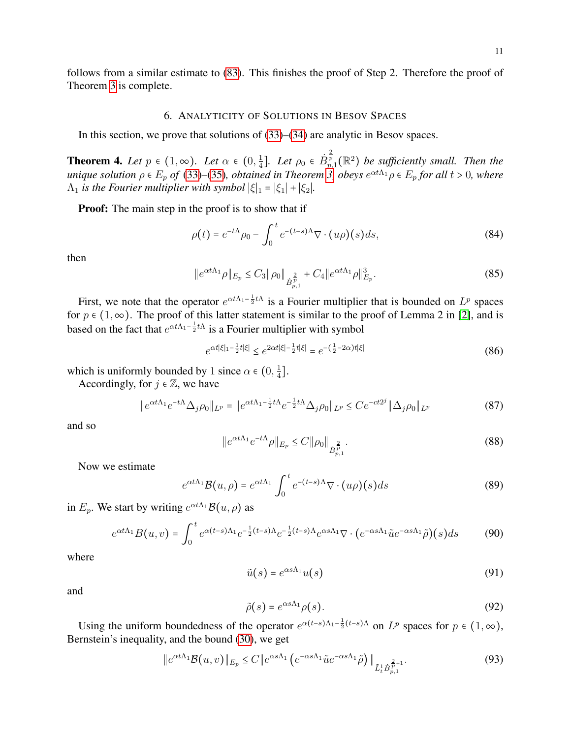follows from a similar estimate to [\(83\)](#page-9-1). This finishes the proof of Step 2. Therefore the proof of Theorem [3](#page-5-4) is complete.

### 6. ANALYTICITY OF SOLUTIONS IN BESOV SPACES

<span id="page-10-0"></span>In this section, we prove that solutions of [\(33\)](#page-4-1)–[\(34\)](#page-4-5) are analytic in Besov spaces.

<span id="page-10-1"></span>**Theorem 4.** Let  $p \in (1, \infty)$ . Let  $\alpha \in (0, \frac{1}{4})$  $\frac{1}{4}$ ]. Let  $\rho_0 \in \dot{B}_{p,1}^{\frac{2}{p}}(\mathbb{R}^2)$  be sufficiently small. Then the *unique solution*  $\rho \in E_p$  *of* [\(33\)](#page-4-1)–[\(35\)](#page-4-2), *obtained in Theorem* [3,](#page-5-4) *obeys*  $e^{\alpha t \Lambda_1} \rho \in E_p$  *for all*  $t > 0$ , *where*  $\Lambda_1$  *is the Fourier multiplier with symbol*  $|\xi|_1 = |\xi_1| + |\xi_2|$ *.* 

**Proof:** The main step in the proof is to show that if

$$
\rho(t) = e^{-t\Lambda}\rho_0 - \int_0^t e^{-(t-s)\Lambda}\nabla \cdot (u\rho)(s)ds,\tag{84}
$$

then

$$
||e^{\alpha t \Lambda_1} \rho ||_{E_p} \le C_3 ||\rho_0||_{\dot{B}_{p,1}^{\frac{2}{p}}} + C_4 ||e^{\alpha t \Lambda_1} \rho ||_{E_p}^3. \tag{85}
$$

First, we note that the operator  $e^{\alpha t \Lambda_1 - \frac{1}{2} t \Lambda}$  is a Fourier multiplier that is bounded on  $L^p$  spaces for  $p \in (1, \infty)$ . The proof of this latter statement is similar to the proof of Lemma 2 in [\[2\]](#page-26-14), and is based on the fact that  $e^{\alpha t \Lambda_1 - \frac{1}{2} t \Lambda}$  is a Fourier multiplier with symbol

$$
e^{\alpha t|\xi|_1 - \frac{1}{2}t|\xi|} \le e^{2\alpha t|\xi| - \frac{1}{2}t|\xi|} = e^{-\left(\frac{1}{2} - 2\alpha\right)t|\xi|} \tag{86}
$$

which is uniformly bounded by 1 since  $\alpha \in (0, \frac{1}{4})$  $\frac{1}{4}$ ].

Accordingly, for  $j \in \mathbb{Z}$ , we have

$$
\|e^{\alpha t \Lambda_1} e^{-t \Lambda} \Delta_j \rho_0\|_{L^p} = \|e^{\alpha t \Lambda_1 - \frac{1}{2}t \Lambda} e^{-\frac{1}{2}t \Lambda} \Delta_j \rho_0\|_{L^p} \le C e^{-ct2^j} \|\Delta_j \rho_0\|_{L^p}
$$
(87)

and so

$$
\|e^{\alpha t \Lambda_1} e^{-t \Lambda} \rho\|_{E_p} \le C \|\rho_0\|_{\dot{B}_{p,1}^{\frac{2}{p}}}.
$$
\n(88)

Now we estimate

$$
e^{\alpha t \Lambda_1} \mathcal{B}(u,\rho) = e^{\alpha t \Lambda_1} \int_0^t e^{-(t-s)\Lambda} \nabla \cdot (u\rho)(s) ds \tag{89}
$$

in  $E_p$ . We start by writing  $e^{\alpha t \Lambda_1} \mathcal{B}(u, \rho)$  as

$$
e^{\alpha t \Lambda_1} B(u,v) = \int_0^t e^{\alpha(t-s)\Lambda_1} e^{-\frac{1}{2}(t-s)\Lambda} e^{-\frac{1}{2}(t-s)\Lambda} e^{\alpha s \Lambda_1} \nabla \cdot (e^{-\alpha s \Lambda_1} \tilde{u} e^{-\alpha s \Lambda_1} \tilde{\rho})(s) ds \tag{90}
$$

where

$$
\tilde{u}(s) = e^{\alpha s \Lambda_1} u(s) \tag{91}
$$

and

$$
\tilde{\rho}(s) = e^{\alpha s \Lambda_1} \rho(s). \tag{92}
$$

Using the uniform boundedness of the operator  $e^{\alpha(t-s)\Lambda_1 - \frac{1}{2}(t-s)\Lambda}$  on  $L^p$  spaces for  $p \in (1,\infty)$ , Bernstein's inequality, and the bound [\(30\)](#page-3-0), we get

$$
\|e^{\alpha t \Lambda_1} \mathcal{B}(u,v)\|_{E_p} \le C \|e^{\alpha s \Lambda_1} \left(e^{-\alpha s \Lambda_1} \tilde{u} e^{-\alpha s \Lambda_1} \tilde{\rho}\right)\|_{\tilde{L}_t^1 \dot{B}_{p,1}^{\frac{2}{p}+1}}.\tag{93}
$$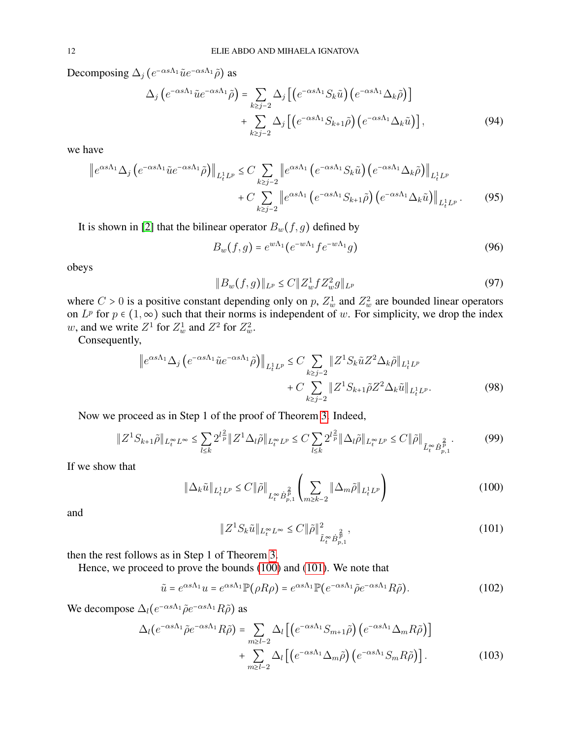Decomposing  $\Delta_j (e^{-\alpha s \Lambda_1} \tilde{u} e^{-\alpha s \Lambda_1} \tilde{\rho})$  as

$$
\Delta_j \left( e^{-\alpha s \Lambda_1} \tilde{u} e^{-\alpha s \Lambda_1} \tilde{\rho} \right) = \sum_{k \ge j-2} \Delta_j \left[ \left( e^{-\alpha s \Lambda_1} S_k \tilde{u} \right) \left( e^{-\alpha s \Lambda_1} \Delta_k \tilde{\rho} \right) \right] + \sum_{k \ge j-2} \Delta_j \left[ \left( e^{-\alpha s \Lambda_1} S_{k+1} \tilde{\rho} \right) \left( e^{-\alpha s \Lambda_1} \Delta_k \tilde{u} \right) \right],
$$
\n(94)

we have

$$
\|e^{\alpha s \Lambda_1} \Delta_j \left(e^{-\alpha s \Lambda_1} \tilde{u} e^{-\alpha s \Lambda_1} \tilde{\rho}\right)\|_{L_t^1 L^p} \leq C \sum_{k \geq j-2} \|e^{\alpha s \Lambda_1} \left(e^{-\alpha s \Lambda_1} S_k \tilde{u}\right) \left(e^{-\alpha s \Lambda_1} \Delta_k \tilde{\rho}\right)\|_{L_t^1 L^p} + C \sum_{k \geq j-2} \|e^{\alpha s \Lambda_1} \left(e^{-\alpha s \Lambda_1} S_{k+1} \tilde{\rho}\right) \left(e^{-\alpha s \Lambda_1} \Delta_k \tilde{u}\right)\|_{L_t^1 L^p}.
$$
 (95)

It is shown in [\[2\]](#page-26-14) that the bilinear operator  $B_w(f, g)$  defined by

<span id="page-11-2"></span>
$$
B_w(f,g) = e^{w\Lambda_1} (e^{-w\Lambda_1} f e^{-w\Lambda_1} g)
$$
\n(96)

obeys

$$
||B_w(f,g)||_{L^p} \le C||Z_w^1fZ_w^2g||_{L^p}
$$
\n(97)

where  $C > 0$  is a positive constant depending only on p,  $Z_w^1$  and  $Z_w^2$  are bounded linear operators on  $L^p$  for  $p \in (1,\infty)$  such that their norms is independent of w. For simplicity, we drop the index w, and we write  $Z^1$  for  $Z_w^1$  and  $Z^2$  for  $Z_w^2$ .

Consequently,

$$
\|e^{\alpha s \Lambda_1} \Delta_j \left(e^{-\alpha s \Lambda_1} \tilde{u} e^{-\alpha s \Lambda_1} \tilde{\rho}\right)\|_{L_t^1 L^p} \leq C \sum_{k \geq j-2} \|Z^1 S_k \tilde{u} Z^2 \Delta_k \tilde{\rho}\|_{L_t^1 L^p} + C \sum_{k \geq j-2} \|Z^1 S_{k+1} \tilde{\rho} Z^2 \Delta_k \tilde{u}\|_{L_t^1 L^p}.
$$
\n(98)

Now we proceed as in Step 1 of the proof of Theorem [3.](#page-5-4) Indeed,

$$
\|Z^1 S_{k+1} \tilde{\rho}\|_{L_t^{\infty} L^{\infty}} \le \sum_{l \le k} 2^{l \frac{2}{p}} \|Z^1 \Delta_l \tilde{\rho}\|_{L_t^{\infty} L^p} \le C \sum_{l \le k} 2^{l \frac{2}{p}} \|\Delta_l \tilde{\rho}\|_{L_t^{\infty} L^p} \le C \|\tilde{\rho}\|_{\tilde{L}_t^{\infty} \dot{B}_{p,1}^{\frac{2}{p}}}.
$$
(99)

If we show that

<span id="page-11-0"></span>
$$
\|\Delta_k \tilde{u}\|_{L_t^1 L^p} \le C \|\tilde{\rho}\|_{L_t^{\infty} \dot{B}_{p,1}^{\frac{2}{p}}} \left( \sum_{m \ge k-2} \|\Delta_m \tilde{\rho}\|_{L_t^1 L^p} \right)
$$
(100)

and

<span id="page-11-1"></span>
$$
\|Z^1 S_k \tilde{u}\|_{L_t^{\infty} L^{\infty}} \le C \|\tilde{\rho}\|_{\tilde{L}_t^{\infty} \dot{B}_{p,1}^{\frac{2}{p}}},\tag{101}
$$

then the rest follows as in Step 1 of Theorem [3.](#page-5-4)

Hence, we proceed to prove the bounds [\(100\)](#page-11-0) and [\(101\)](#page-11-1). We note that

$$
\tilde{u} = e^{\alpha s \Lambda_1} u = e^{\alpha s \Lambda_1} \mathbb{P}(\rho R \rho) = e^{\alpha s \Lambda_1} \mathbb{P}(e^{-\alpha s \Lambda_1} \tilde{\rho} e^{-\alpha s \Lambda_1} R \tilde{\rho}). \tag{102}
$$

We decompose  $\Delta_l(e^{-\alpha s \Lambda_1} \tilde{\rho} e^{-\alpha s \Lambda_1} R \tilde{\rho})$  as

$$
\Delta_l(e^{-\alpha s\Lambda_1}\tilde{\rho}e^{-\alpha s\Lambda_1}R\tilde{\rho}) = \sum_{m \ge l-2} \Delta_l \left[ \left( e^{-\alpha s\Lambda_1}S_{m+1}\tilde{\rho} \right) \left( e^{-\alpha s\Lambda_1}\Delta_m R\tilde{\rho} \right) \right] \n+ \sum_{m \ge l-2} \Delta_l \left[ \left( e^{-\alpha s\Lambda_1}\Delta_m \tilde{\rho} \right) \left( e^{-\alpha s\Lambda_1}S_m R\tilde{\rho} \right) \right].
$$
\n(103)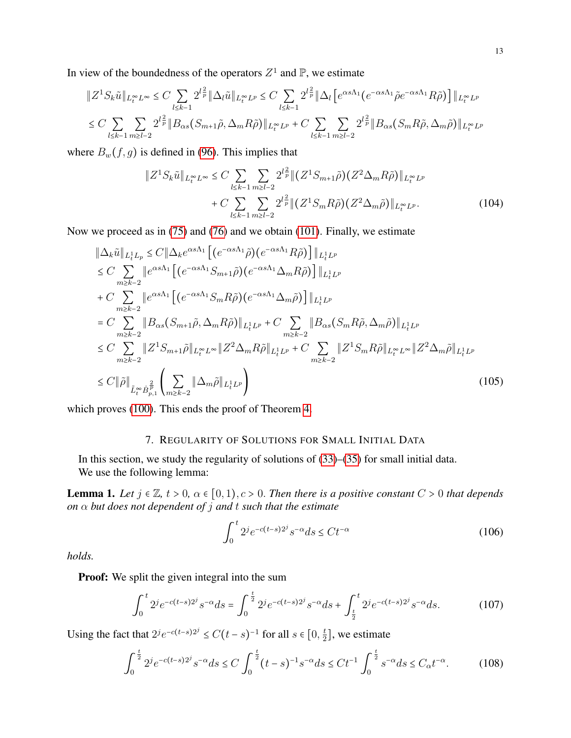In view of the boundedness of the operators  $Z^1$  and  $\mathbb{P}$ , we estimate

$$
\|Z^1 S_k \tilde{u}\|_{L_t^\infty L^\infty} \leq C \sum_{l \leq k-1} 2^{l\frac{2}{p}} \|\Delta_l \tilde{u}\|_{L_t^\infty L^p} \leq C \sum_{l \leq k-1} 2^{l\frac{2}{p}} \|\Delta_l \left[e^{\alpha s \Lambda_1} (e^{-\alpha s \Lambda_1} \tilde{\rho} e^{-\alpha s \Lambda_1} R \tilde{\rho})\right] \|_{L_t^\infty L^p}
$$
  

$$
\leq C \sum_{l \leq k-1} \sum_{m \geq l-2} 2^{l\frac{2}{p}} \|B_{\alpha s} (S_{m+1} \tilde{\rho}, \Delta_m R \tilde{\rho})\|_{L_t^\infty L^p} + C \sum_{l \leq k-1} \sum_{m \geq l-2} 2^{l\frac{2}{p}} \|B_{\alpha s} (S_m R \tilde{\rho}, \Delta_m \tilde{\rho})\|_{L_t^\infty L^p}
$$

where  $B_w(f, g)$  is defined in [\(96\)](#page-11-2). This implies that

$$
\|Z^1 S_k \tilde{u}\|_{L_t^{\infty} L^{\infty}} \leq C \sum_{l \leq k-1} \sum_{m \geq l-2} 2^{l\frac{2}{p}} \| (Z^1 S_{m+1} \tilde{\rho}) (Z^2 \Delta_m R \tilde{\rho}) \|_{L_t^{\infty} L^p} + C \sum_{l \leq k-1} \sum_{m \geq l-2} 2^{l\frac{2}{p}} \| (Z^1 S_m R \tilde{\rho}) (Z^2 \Delta_m \tilde{\rho}) \|_{L_t^{\infty} L^p}.
$$
 (104)

Now we proceed as in [\(75\)](#page-8-2) and [\(76\)](#page-9-2) and we obtain [\(101\)](#page-11-1). Finally, we estimate

$$
\|\Delta_{k}\tilde{u}\|_{L_{t}^{1}L_{p}} \leq C \|\Delta_{k}e^{\alpha s\Lambda_{1}} \left[ (e^{-\alpha s\Lambda_{1}}\tilde{\rho})(e^{-\alpha s\Lambda_{1}}R\tilde{\rho}) \right] \|_{L_{t}^{1}L^{p}}\n\leq C \sum_{m\geq k-2} \|e^{\alpha s\Lambda_{1}} \left[ (e^{-\alpha s\Lambda_{1}}S_{m+1}\tilde{\rho})(e^{-\alpha s\Lambda_{1}}\Delta_{m}R\tilde{\rho}) \right] \|_{L_{t}^{1}L^{p}}\n+ C \sum_{m\geq k-2} \|e^{\alpha s\Lambda_{1}} \left[ (e^{-\alpha s\Lambda_{1}}S_{m}R\tilde{\rho})(e^{-\alpha s\Lambda_{1}}\Delta_{m}\tilde{\rho}) \right] \|_{L_{t}^{1}L^{p}}\n= C \sum_{m\geq k-2} \|B_{\alpha s}(S_{m+1}\tilde{\rho},\Delta_{m}R\tilde{\rho})\|_{L_{t}^{1}L^{p}} + C \sum_{m\geq k-2} \|B_{\alpha s}(S_{m}R\tilde{\rho},\Delta_{m}\tilde{\rho})\|_{L_{t}^{1}L^{p}}\n\leq C \sum_{m\geq k-2} \|Z^{1}S_{m+1}\tilde{\rho}\|_{L_{t}^{\infty}L^{\infty}} \|Z^{2}\Delta_{m}R\tilde{\rho}\|_{L_{t}^{1}L^{p}} + C \sum_{m\geq k-2} \|Z^{1}S_{m}R\tilde{\rho}\|_{L_{t}^{\infty}L^{\infty}} \|Z^{2}\Delta_{m}\tilde{\rho}\|_{L_{t}^{1}L^{p}}\n\leq C \|\tilde{\rho}\|_{\tilde{L}_{t}^{\infty}B^{\frac{2}{p}}_{p,1}} \left( \sum_{m\geq k-2} \|\Delta_{m}\tilde{\rho}\|_{L_{t}^{1}L^{p}} \right)
$$
\n(105)

which proves [\(100\)](#page-11-0). This ends the proof of Theorem [4.](#page-10-1)

# 7. REGULARITY OF SOLUTIONS FOR SMALL INITIAL DATA

<span id="page-12-0"></span>In this section, we study the regularity of solutions of [\(33\)](#page-4-1)–[\(35\)](#page-4-2) for small initial data. We use the following lemma:

<span id="page-12-3"></span>**Lemma 1.** Let  $j \in \mathbb{Z}$ ,  $t > 0$ ,  $\alpha \in [0, 1)$ ,  $c > 0$ . Then there is a positive constant  $C > 0$  that depends *on* α *but does not dependent of* j *and* t *such that the estimate*

<span id="page-12-2"></span>
$$
\int_0^t 2^j e^{-c(t-s)2^j} s^{-\alpha} ds \le Ct^{-\alpha}
$$
 (106)

*holds.*

Proof: We split the given integral into the sum

$$
\int_0^t 2^j e^{-c(t-s)2^j} s^{-\alpha} ds = \int_0^{\frac{t}{2}} 2^j e^{-c(t-s)2^j} s^{-\alpha} ds + \int_{\frac{t}{2}}^t 2^j e^{-c(t-s)2^j} s^{-\alpha} ds. \tag{107}
$$

Using the fact that  $2^j e^{-c(t-s)2^j} \leq C(t-s)^{-1}$  for all  $s \in [0, \frac{t}{2}]$  $\frac{t}{2}$ , we estimate

<span id="page-12-1"></span>
$$
\int_0^{\frac{t}{2}} 2^j e^{-c(t-s)2^j} s^{-\alpha} ds \le C \int_0^{\frac{t}{2}} (t-s)^{-1} s^{-\alpha} ds \le Ct^{-1} \int_0^{\frac{t}{2}} s^{-\alpha} ds \le C_{\alpha} t^{-\alpha}.
$$
 (108)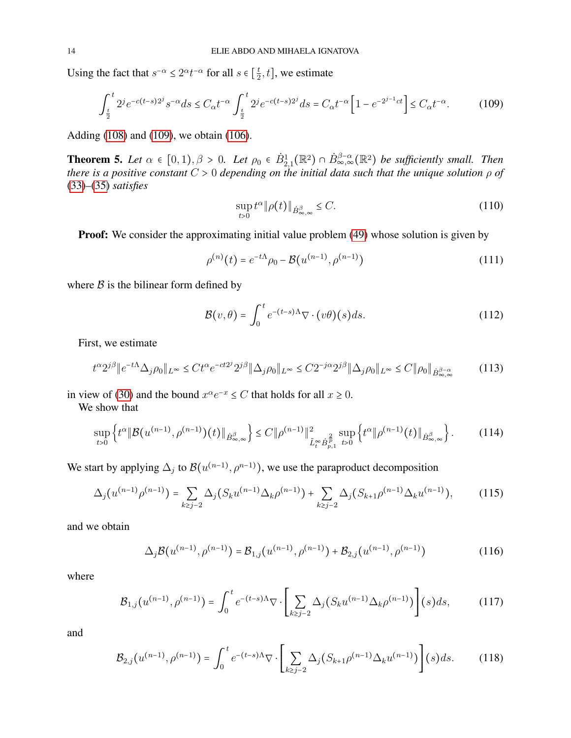Using the fact that  $s^{-\alpha} \leq 2^{\alpha} t^{-\alpha}$  for all  $s \in \left[\frac{t}{2}\right]$  $(\frac{t}{2}, t]$ , we estimate

<span id="page-13-0"></span>
$$
\int_{\frac{t}{2}}^{t} 2^{j} e^{-c(t-s)2^{j}} s^{-\alpha} ds \le C_{\alpha} t^{-\alpha} \int_{\frac{t}{2}}^{t} 2^{j} e^{-c(t-s)2^{j}} ds = C_{\alpha} t^{-\alpha} \left[ 1 - e^{-2^{j-1}ct} \right] \le C_{\alpha} t^{-\alpha}.
$$
 (109)

Adding [\(108\)](#page-12-1) and [\(109\)](#page-13-0), we obtain [\(106\)](#page-12-2).

<span id="page-13-2"></span>**Theorem 5.** Let  $\alpha \in [0,1), \beta > 0$ . Let  $\rho_0 \in \dot{B}_{2,1}^1(\mathbb{R}^2) \cap \dot{B}_{\infty,\infty}^{\beta-\alpha}(\mathbb{R}^2)$  be sufficiently small. Then *there is a positive constant* C > 0 *depending on the initial data such that the unique solution* ρ *of* [\(33\)](#page-4-1)*–*[\(35\)](#page-4-2) *satisfies*

$$
\sup_{t>0} t^{\alpha} \|\rho(t)\|_{\dot{B}^{\beta}_{\infty,\infty}} \leq C. \tag{110}
$$

Proof: We consider the approximating initial value problem [\(49\)](#page-5-5) whose solution is given by

$$
\rho^{(n)}(t) = e^{-t\Lambda}\rho_0 - \mathcal{B}(u^{(n-1)}, \rho^{(n-1)})
$$
\n(111)

where  $\beta$  is the bilinear form defined by

$$
\mathcal{B}(v,\theta) = \int_0^t e^{-(t-s)\Lambda} \nabla \cdot (v\theta)(s) ds.
$$
 (112)

First, we estimate

$$
t^{\alpha}2^{j\beta} \|e^{-t\Lambda}\Delta_j\rho_0\|_{L^{\infty}} \le Ct^{\alpha}e^{-ct2^{j}}2^{j\beta} \|\Delta_j\rho_0\|_{L^{\infty}} \le C2^{-j\alpha}2^{j\beta} \|\Delta_j\rho_0\|_{L^{\infty}} \le C \|\rho_0\|_{\dot{B}^{\beta-\alpha}_{\infty,\infty}}
$$
(113)

in view of [\(30\)](#page-3-0) and the bound  $x^{\alpha}e^{-x} \leq C$  that holds for all  $x \geq 0$ .

We show that

<span id="page-13-1"></span>
$$
\sup_{t>0} \left\{ t^{\alpha} \| \mathcal{B}(u^{(n-1)}, \rho^{(n-1)}) (t) \|_{\dot{B}^{\beta}_{\infty,\infty}} \right\} \leq C \| \rho^{(n-1)} \|_{\tilde{L}^{\infty}_{t} \dot{B}^{\frac{2}{p}}_{p,1}}^{2} \sup_{t>0} \left\{ t^{\alpha} \| \rho^{(n-1)} (t) \|_{\dot{B}^{\beta}_{\infty,\infty}} \right\}.
$$
 (114)

We start by applying  $\Delta_j$  to  $\mathcal{B}(u^{(n-1)}, \rho^{n-1})$ , we use the paraproduct decomposition

$$
\Delta_j(u^{(n-1)}\rho^{(n-1)}) = \sum_{k \ge j-2} \Delta_j(S_k u^{(n-1)} \Delta_k \rho^{(n-1)}) + \sum_{k \ge j-2} \Delta_j(S_{k+1}\rho^{(n-1)} \Delta_k u^{(n-1)}),\tag{115}
$$

and we obtain

$$
\Delta_j \mathcal{B}(u^{(n-1)}, \rho^{(n-1)}) = \mathcal{B}_{1,j}(u^{(n-1)}, \rho^{(n-1)}) + \mathcal{B}_{2,j}(u^{(n-1)}, \rho^{(n-1)})
$$
(116)

where

$$
\mathcal{B}_{1,j}(u^{(n-1)},\rho^{(n-1)}) = \int_0^t e^{-(t-s)\Lambda} \nabla \cdot \left[ \sum_{k \ge j-2} \Delta_j (S_k u^{(n-1)} \Delta_k \rho^{(n-1)}) \right] (s) ds, \tag{117}
$$

$$
\mathcal{B}_{2,j}(u^{(n-1)},\rho^{(n-1)}) = \int_0^t e^{-(t-s)\Lambda} \nabla \cdot \left[ \sum_{k \ge j-2} \Delta_j (S_{k+1}\rho^{(n-1)} \Delta_k u^{(n-1)}) \right] (s) ds. \tag{118}
$$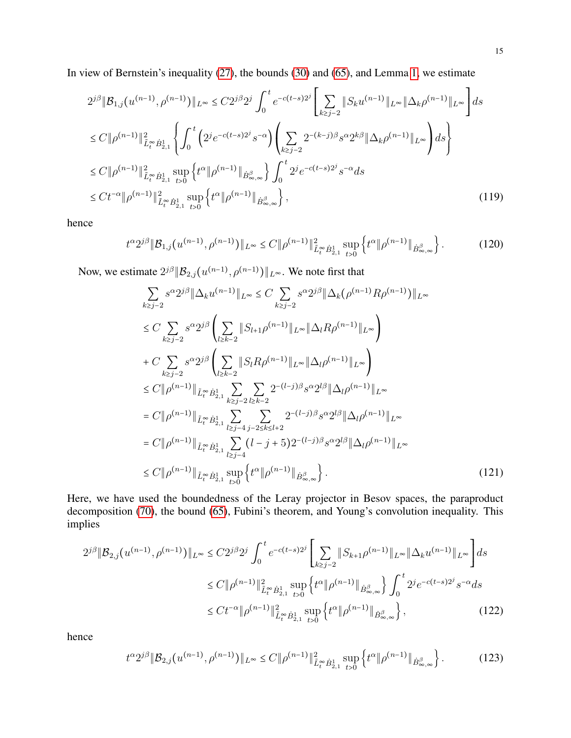In view of Bernstein's inequality [\(27\)](#page-3-1), the bounds [\(30\)](#page-3-0) and [\(65\)](#page-7-0), and Lemma [1,](#page-12-3) we estimate

$$
2^{j\beta} \|\mathcal{B}_{1,j}(u^{(n-1)},\rho^{(n-1)})\|_{L^{\infty}} \leq C 2^{j\beta} 2^j \int_0^t e^{-c(t-s)2^j} \left[ \sum_{k \geq j-2} \|S_k u^{(n-1)}\|_{L^{\infty}} \|\Delta_k \rho^{(n-1)}\|_{L^{\infty}} \right] ds
$$
  
\n
$$
\leq C \|\rho^{(n-1)}\|_{\tilde{L}_t^{\infty} \dot{B}_{2,1}^1}^2 \left\{ \int_0^t \left( 2^j e^{-c(t-s)2^j} s^{-\alpha} \right) \left( \sum_{k \geq j-2} 2^{-(k-j)\beta} s^{\alpha} 2^{k\beta} \|\Delta_k \rho^{(n-1)}\|_{L^{\infty}} \right) ds \right\}
$$
  
\n
$$
\leq C \|\rho^{(n-1)}\|_{\tilde{L}_t^{\infty} \dot{B}_{2,1}^1}^2 \sup_{t>0} \left\{ t^{\alpha} \|\rho^{(n-1)}\|_{\dot{B}_{\infty,\infty}^{\beta}} \right\} \int_0^t 2^j e^{-c(t-s)2^j} s^{-\alpha} ds
$$
  
\n
$$
\leq Ct^{-\alpha} \|\rho^{(n-1)}\|_{\tilde{L}_t^{\infty} \dot{B}_{2,1}^1}^2 \sup_{t>0} \left\{ t^{\alpha} \|\rho^{(n-1)}\|_{\dot{B}_{\infty,\infty}^{\beta}} \right\}, \tag{119}
$$

hence

$$
t^{\alpha} 2^{j\beta} \| \mathcal{B}_{1,j}(u^{(n-1)}, \rho^{(n-1)}) \|_{L^{\infty}} \le C \| \rho^{(n-1)} \|_{\tilde{L}_t^{\infty} \dot{B}_{2,1}}^{1} \sup_{t>0} \left\{ t^{\alpha} \| \rho^{(n-1)} \|_{\dot{B}_{\infty,\infty}^{\beta}} \right\}.
$$
 (120)

Now, we estimate  $2^{j\beta}$   $\|\mathcal{B}_{2,j}(u^{(n-1)}, \rho^{(n-1)})\|_{L^{\infty}}$ . We note first that

<span id="page-14-0"></span>
$$
\sum_{k\geq j-2} s^{\alpha} 2^{j\beta} \|\Delta_{k} u^{(n-1)}\|_{L^{\infty}} \leq C \sum_{k\geq j-2} s^{\alpha} 2^{j\beta} \|\Delta_{k} (\rho^{(n-1)} R \rho^{(n-1)})\|_{L^{\infty}}
$$
\n
$$
\leq C \sum_{k\geq j-2} s^{\alpha} 2^{j\beta} \left( \sum_{l\geq k-2} \|S_{l+1} \rho^{(n-1)}\|_{L^{\infty}} \|\Delta_{l} R \rho^{(n-1)}\|_{L^{\infty}} \right)
$$
\n
$$
+ C \sum_{k\geq j-2} s^{\alpha} 2^{j\beta} \left( \sum_{l\geq k-2} \|S_{l} R \rho^{(n-1)}\|_{L^{\infty}} \|\Delta_{l} \rho^{(n-1)}\|_{L^{\infty}} \right)
$$
\n
$$
\leq C \|\rho^{(n-1)}\|_{\tilde{L}_{t}^{\infty} \dot{B}_{2,1}^{1}} \sum_{k\geq j-2} \sum_{l\geq k-2} 2^{-(l-j)\beta} s^{\alpha} 2^{l\beta} \|\Delta_{l} \rho^{(n-1)}\|_{L^{\infty}}
$$
\n
$$
= C \|\rho^{(n-1)}\|_{\tilde{L}_{t}^{\infty} \dot{B}_{2,1}^{1}} \sum_{l\geq j-4} \sum_{j-2\leq k\leq l+2} 2^{-(l-j)\beta} s^{\alpha} 2^{l\beta} \|\Delta_{l} \rho^{(n-1)}\|_{L^{\infty}}
$$
\n
$$
= C \|\rho^{(n-1)}\|_{\tilde{L}_{t}^{\infty} \dot{B}_{2,1}^{1}} \sum_{l\geq j-4} (l-j+5) 2^{-(l-j)\beta} s^{\alpha} 2^{l\beta} \|\Delta_{l} \rho^{(n-1)}\|_{L^{\infty}}
$$
\n
$$
\leq C \|\rho^{(n-1)}\|_{\tilde{L}_{t}^{\infty} \dot{B}_{2,1}^{1}} \sup_{t>0} \left\{ t^{\alpha} \|\rho^{(n-1)}\|_{\dot{B}_{\infty,\infty}^{\beta}} \right\}.
$$
\n(121)

Here, we have used the boundedness of the Leray projector in Besov spaces, the paraproduct decomposition [\(70\)](#page-8-1), the bound [\(65\)](#page-7-0), Fubini's theorem, and Young's convolution inequality. This implies

$$
2^{j\beta} \|\mathcal{B}_{2,j}(u^{(n-1)},\rho^{(n-1)})\|_{L^{\infty}} \le C2^{j\beta} 2^j \int_0^t e^{-c(t-s)2^j} \left[ \sum_{k \ge j-2} \|S_{k+1}\rho^{(n-1)}\|_{L^{\infty}} \|\Delta_k u^{(n-1)}\|_{L^{\infty}} \right] ds
$$
  

$$
\le C \|\rho^{(n-1)}\|_{\tilde{L}^{\infty}_{t} \dot{B}_{2,1}}^2 \sup_{t>0} \left\{ t^{\alpha} \|\rho^{(n-1)}\|_{\dot{B}^{\beta}_{\infty,\infty}} \right\} \int_0^t 2^j e^{-c(t-s)2^j} s^{-\alpha} ds
$$
  

$$
\le Ct^{-\alpha} \|\rho^{(n-1)}\|_{\tilde{L}^{\infty}_{t} \dot{B}_{2,1}}^2 \sup_{t>0} \left\{ t^{\alpha} \|\rho^{(n-1)}\|_{\dot{B}^{\beta}_{\infty,\infty}} \right\},
$$
 (122)

hence

<span id="page-14-1"></span>
$$
t^{\alpha} 2^{j\beta} \|\mathcal{B}_{2,j}(u^{(n-1)}, \rho^{(n-1)})\|_{L^{\infty}} \le C \|\rho^{(n-1)}\|_{\tilde{L}^{\infty}_{t} \dot{B}_{2,1}}^{2} \sup_{t>0} \left\{ t^{\alpha} \|\rho^{(n-1)}\|_{\dot{B}_{\infty,\infty}^{\beta}} \right\}.
$$
 (123)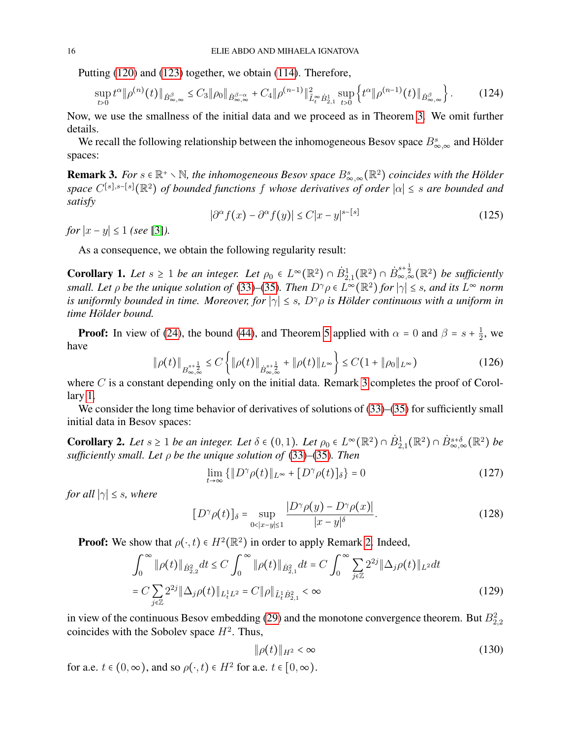Putting [\(120\)](#page-14-0) and [\(123\)](#page-14-1) together, we obtain [\(114\)](#page-13-1). Therefore,

$$
\sup_{t>0} t^{\alpha} \|\rho^{(n)}(t)\|_{\dot{B}^{\beta}_{\infty,\infty}} \leq C_3 \|\rho_0\|_{\dot{B}^{\beta-\alpha}_{\infty,\infty}} + C_4 \|\rho^{(n-1)}\|_{\tilde{L}_t^\infty \dot{B}_{2,1}}^2 \sup_{t>0} \left\{ t^{\alpha} \|\rho^{(n-1)}(t)\|_{\dot{B}^{\beta}_{\infty,\infty}} \right\}.
$$
 (124)

Now, we use the smallness of the initial data and we proceed as in Theorem [3.](#page-5-4) We omit further details.

We recall the following relationship between the inhomogeneous Besov space  $B_{\infty,\infty}^s$  and Hölder spaces:

<span id="page-15-0"></span>**Remark 3.** For  $s \in \mathbb{R}^+ \setminus \mathbb{N}$ , the inhomogeneous Besov space  $B^s_{\infty,\infty}(\mathbb{R}^2)$  coincides with the Hölder *space* C[s],s−[s](R<sup>2</sup>) *of bounded functions* f *whose derivatives of order* ∣α∣ ≤ s *are bounded and satisfy*

$$
|\partial^{\alpha} f(x) - \partial^{\alpha} f(y)| \le C|x - y|^{s - [s]}
$$
\n(125)

*for*  $|x - y| \le 1$  *(see* [\[3\]](#page-26-10)*)*.

As a consequence, we obtain the following regularity result:

<span id="page-15-1"></span>**Corollary 1.** Let  $s \ge 1$  be an integer. Let  $\rho_0 \in L^{\infty}(\mathbb{R}^2) \cap \dot{B}^1_{2,1}(\mathbb{R}^2) \cap \dot{B}^{s+\frac{1}{2}}_{\infty,\infty}(\mathbb{R}^2)$  be sufficiently *small. Let*  $\rho$  *be the unique solution of* [\(33\)](#page-4-1)–[\(35\)](#page-4-2)*. Then*  $D^{\gamma} \rho \in L^{\infty}(\mathbb{R}^2)$  *for*  $|\gamma| \leq s$ *, and its*  $L^{\infty}$  *norm is uniformly bounded in time. Moreover, for*  $|\gamma| \leq s$ ,  $D^{\gamma} \rho$  *is Hölder continuous with a uniform in time Holder bound. ¨*

**Proof:** In view of [\(24\)](#page-2-0), the bound [\(44\)](#page-5-3), and Theorem [5](#page-13-2) applied with  $\alpha = 0$  and  $\beta = s + \frac{1}{2}$  $\frac{1}{2}$ , we have

$$
\|\rho(t)\|_{B^{s+\frac{1}{2}}_{\infty,\infty}} \le C \left\{ \|\rho(t)\|_{\dot{B}^{s+\frac{1}{2}}_{\infty,\infty}} + \|\rho(t)\|_{L^{\infty}} \right\} \le C(1 + \|\rho_0\|_{L^{\infty}}) \tag{126}
$$

where  $C$  is a constant depending only on the initial data. Remark [3](#page-15-0) completes the proof of Corollary [1.](#page-15-1)

We consider the long time behavior of derivatives of solutions of [\(33\)](#page-4-1)–[\(35\)](#page-4-2) for sufficiently small initial data in Besov spaces:

**Corollary 2.** Let  $s \geq 1$  be an integer. Let  $\delta \in (0,1)$ . Let  $\rho_0 \in L^{\infty}(\mathbb{R}^2) \cap \dot{B}^1_{2,1}(\mathbb{R}^2) \cap \dot{B}^{s+\delta}_{\infty,\infty}(\mathbb{R}^2)$  be *sufficiently small. Let* ρ *be the unique solution of* [\(33\)](#page-4-1)*–*[\(35\)](#page-4-2)*. Then*

<span id="page-15-2"></span>
$$
\lim_{t \to \infty} \{ \| D^{\gamma} \rho(t) \|_{L^{\infty}} + [D^{\gamma} \rho(t)]_{\delta} \} = 0
$$
\n(127)

*for all*  $|\gamma| \leq s$ *, where* 

$$
[D^{\gamma}\rho(t)]_{\delta} = \sup_{0 < |x-y| \le 1} \frac{|D^{\gamma}\rho(y) - D^{\gamma}\rho(x)|}{|x-y|^{\delta}}.
$$
\n(128)

**Proof:** We show that  $\rho(\cdot, t) \in H^2(\mathbb{R}^2)$  in order to apply Remark [2.](#page-5-6) Indeed,

$$
\int_0^{\infty} \|\rho(t)\|_{\dot{B}_{2,2}^2} dt \le C \int_0^{\infty} \|\rho(t)\|_{\dot{B}_{2,1}^2} dt = C \int_0^{\infty} \sum_{j\in\mathbb{Z}} 2^{2j} \|\Delta_j \rho(t)\|_{L^2} dt
$$
  
=  $C \sum_{j\in\mathbb{Z}} 2^{2j} \|\Delta_j \rho(t)\|_{L^1_t L^2} = C \|\rho\|_{\tilde{L}^1_t \dot{B}_{2,1}^2} < \infty$  (129)

in view of the continuous Besov embedding [\(29\)](#page-3-5) and the monotone convergence theorem. But  $B_{2,2}^2$ coincides with the Sobolev space  $H^2$ . Thus,

$$
\|\rho(t)\|_{H^2} < \infty \tag{130}
$$

for a.e.  $t \in (0, \infty)$ , and so  $\rho(\cdot, t) \in H^2$  for a.e.  $t \in [0, \infty)$ .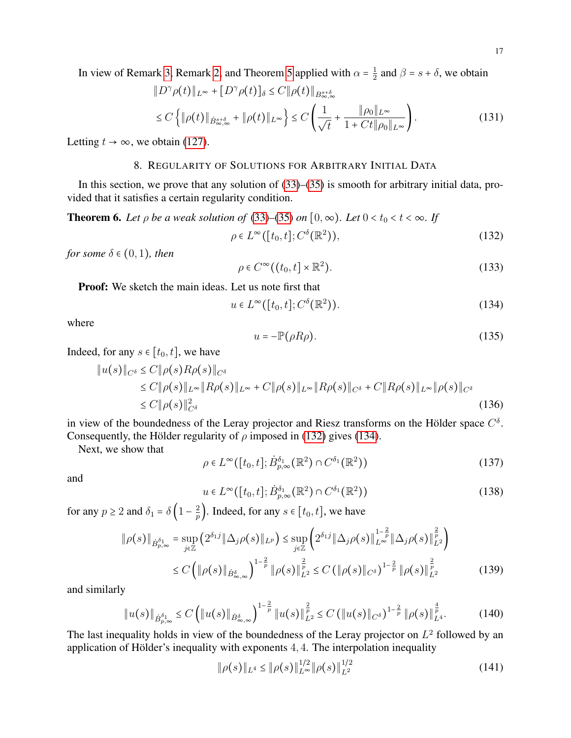$$
||D^{\gamma}\rho(t)||_{L^{\infty}} + [D^{\gamma}\rho(t)]_{\delta} \le C ||\rho(t)||_{B_{\infty,\infty}^{s+\delta}}
$$
  
\n
$$
\le C \left\{ ||\rho(t)||_{\dot{B}_{\infty,\infty}^{s+\delta}} + ||\rho(t)||_{L^{\infty}} \right\} \le C \left(\frac{1}{\sqrt{t}} + \frac{||\rho_0||_{L^{\infty}}}{1 + Ct||\rho_0||_{L^{\infty}}}\right).
$$
\n(131)

<span id="page-16-0"></span>Letting  $t \to \infty$ , we obtain [\(127\)](#page-15-2).

# 8. REGULARITY OF SOLUTIONS FOR ARBITRARY INITIAL DATA

In this section, we prove that any solution of [\(33\)](#page-4-1)–[\(35\)](#page-4-2) is smooth for arbitrary initial data, provided that it satisfies a certain regularity condition.

<span id="page-16-5"></span>**Theorem 6.** Let  $\rho$  be a weak solution of [\(33\)](#page-4-1)–[\(35\)](#page-4-2) on  $[0, \infty)$ . Let  $0 < t_0 < t < \infty$ . If

<span id="page-16-1"></span>
$$
\rho \in L^{\infty}([t_0, t]; C^{\delta}(\mathbb{R}^2)), \tag{132}
$$

*for some*  $\delta \in (0,1)$ *, then* 

$$
\rho \in C^{\infty}((t_0, t] \times \mathbb{R}^2). \tag{133}
$$

Proof: We sketch the main ideas. Let us note first that

<span id="page-16-2"></span>
$$
u \in L^{\infty}([t_0, t]; C^{\delta}(\mathbb{R}^2)).
$$
\n(134)

where

$$
u = -\mathbb{P}(\rho R \rho). \tag{135}
$$

Indeed, for any  $s \in [t_0, t]$ , we have

$$
\|u(s)\|_{C^{\delta}} \le C \|\rho(s)R\rho(s)\|_{C^{\delta}} \n\le C \|\rho(s)\|_{L^{\infty}} \|R\rho(s)\|_{L^{\infty}} + C \|\rho(s)\|_{L^{\infty}} \|R\rho(s)\|_{C^{\delta}} + C \|R\rho(s)\|_{L^{\infty}} \|\rho(s)\|_{C^{\delta}} \n\le C \|\rho(s)\|_{C^{\delta}}^2
$$
\n(136)

in view of the boundedness of the Leray projector and Riesz transforms on the Hölder space  $C^{\delta}$ . Consequently, the Hölder regularity of  $\rho$  imposed in [\(132\)](#page-16-1) gives [\(134\)](#page-16-2).

Next, we show that

<span id="page-16-3"></span>
$$
\rho \in L^{\infty}([t_0, t]; \dot{B}_{p,\infty}^{\delta_1}(\mathbb{R}^2) \cap C^{\delta_1}(\mathbb{R}^2))
$$
\n(137)

and

<span id="page-16-4"></span>
$$
u \in L^{\infty}([t_0, t]; \dot{B}_{p,\infty}^{\delta_1}(\mathbb{R}^2) \cap C^{\delta_1}(\mathbb{R}^2))
$$
\n(138)

for any  $p \ge 2$  and  $\delta_1 = \delta \left(1 - \frac{2}{p}\right)$  $\frac{2}{p}$ ). Indeed, for any  $s \in [t_0, t]$ , we have

$$
\|\rho(s)\|_{\dot{B}_{p,\infty}^{\delta_1}} = \sup_{j\in\mathbb{Z}} \left(2^{\delta_1 j} \|\Delta_j \rho(s)\|_{L^p}\right) \leq \sup_{j\in\mathbb{Z}} \left(2^{\delta_1 j} \|\Delta_j \rho(s)\|_{L^{\infty}}^{\frac{1}{p}} \|\Delta_j \rho(s)\|_{L^2}^{\frac{2}{p}}\right)
$$
  

$$
\leq C \left(\|\rho(s)\|_{\dot{B}_{\infty,\infty}^{\delta}}\right)^{1-\frac{2}{p}} \|\rho(s)\|_{L^2}^{\frac{2}{p}} \leq C \left(\|\rho(s)\|_{C^{\delta}}\right)^{1-\frac{2}{p}} \|\rho(s)\|_{L^2}^{\frac{2}{p}} \qquad (139)
$$

and similarly

$$
\|u(s)\|_{\dot{B}_{p,\infty}^{\delta_1}} \leq C \left( \|u(s)\|_{\dot{B}_{\infty,\infty}^{\delta}} \right)^{1-\frac{2}{p}} \|u(s)\|_{L^2}^{\frac{2}{p}} \leq C \left( \|u(s)\|_{C^{\delta}} \right)^{1-\frac{2}{p}} \|\rho(s)\|_{L^4}^{\frac{4}{p}}.
$$
 (140)

The last inequality holds in view of the boundedness of the Leray projector on  $L^2$  followed by an application of Hölder's inequality with exponents  $4, 4$ . The interpolation inequality

$$
\|\rho(s)\|_{L^4} \le \|\rho(s)\|_{L^\infty}^{1/2} \|\rho(s)\|_{L^2}^{1/2} \tag{141}
$$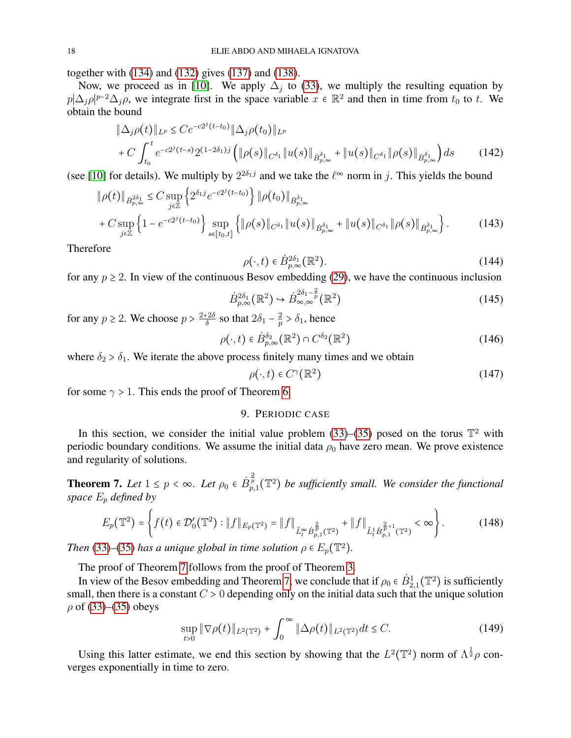together with [\(134\)](#page-16-2) and [\(132\)](#page-16-1) gives [\(137\)](#page-16-3) and [\(138\)](#page-16-4).

Now, we proceed as in [\[10\]](#page-26-16). We apply  $\Delta_j$  to [\(33\)](#page-4-1), we multiply the resulting equation by  $p|\Delta_j \rho|^{p-2}\Delta_j \rho$ , we integrate first in the space variable  $x \in \mathbb{R}^2$  and then in time from  $t_0$  to t. We obtain the bound

$$
\|\Delta_j \rho(t)\|_{L^p} \le C e^{-c2^j(t-t_0)} \|\Delta_j \rho(t_0)\|_{L^p} + C \int_{t_0}^t e^{-c2^j(t-s)} 2^{(1-2\delta_1)j} \left( \|\rho(s)\|_{C^{\delta_1}} \|u(s)\|_{\dot{B}^{\delta_1}_{p,\infty}} + \|u(s)\|_{C^{\delta_1}} \|\rho(s)\|_{\dot{B}^{\delta_1}_{p,\infty}} \right) ds
$$
(142)

(see [\[10\]](#page-26-16) for details). We multiply by  $2^{2\delta_1 j}$  and we take the  $\ell^{\infty}$  norm in j. This yields the bound

$$
\|\rho(t)\|_{\dot{B}_{p,\infty}^{2\delta_1}} \leq C \sup_{j\in\mathbb{Z}} \left\{ 2^{\delta_1 j} e^{-c2^j(t-t_0)} \right\} \|\rho(t_0)\|_{\dot{B}_{p,\infty}^{\delta_1}} + C \sup_{j\in\mathbb{Z}} \left\{ 1 - e^{-c2^j(t-t_0)} \right\} \sup_{s\in[t_0,t]} \left\{ \|\rho(s)\|_{C^{\delta_1}} \|u(s)\|_{\dot{B}_{p,\infty}^{\delta_1}} + \|u(s)\|_{C^{\delta_1}} \|\rho(s)\|_{\dot{B}_{p,\infty}^{\delta_1}} \right\}.
$$
 (143)

Therefore

$$
\rho(\cdot,t) \in \dot{B}_{p,\infty}^{2\delta_1}(\mathbb{R}^2). \tag{144}
$$

for any  $p \ge 2$ . In view of the continuous Besov embedding [\(29\)](#page-3-5), we have the continuous inclusion

$$
\dot{B}_{p,\infty}^{2\delta_1}(\mathbb{R}^2) \hookrightarrow \dot{B}_{\infty,\infty}^{2\delta_1 - \frac{2}{p}}(\mathbb{R}^2)
$$
\n(145)

for any  $p \ge 2$ . We choose  $p > \frac{2+2\delta}{\delta}$  $\frac{e^{2\delta}}{\delta}$  so that  $2\delta_1 - \frac{2}{p}$  $\frac{2}{p} > \delta_1$ , hence

$$
\rho(\cdot,t) \in \dot{B}_{p,\infty}^{\delta_2}(\mathbb{R}^2) \cap C^{\delta_2}(\mathbb{R}^2)
$$
\n(146)

where  $\delta_2 > \delta_1$ . We iterate the above process finitely many times and we obtain

$$
\rho(\cdot, t) \in C^{\gamma}(\mathbb{R}^2)
$$
\n(147)

<span id="page-17-0"></span>for some  $\gamma > 1$ . This ends the proof of Theorem [6.](#page-16-5)

### 9. PERIODIC CASE

In this section, we consider the initial value problem [\(33\)](#page-4-1)–[\(35\)](#page-4-2) posed on the torus  $\mathbb{T}^2$  with periodic boundary conditions. We assume the initial data  $\rho_0$  have zero mean. We prove existence and regularity of solutions.

<span id="page-17-1"></span>**Theorem 7.** Let  $1 \le p < \infty$ . Let  $\rho_0 \in \dot{B}_{p,1}^{\frac{2}{p}}(\mathbb{T}^2)$  be sufficiently small. We consider the functional *space* E<sup>p</sup> *defined by*

$$
E_p(\mathbb{T}^2) = \left\{ f(t) \in \mathcal{D}'_0(\mathbb{T}^2) : \|f\|_{E_p(\mathbb{T}^2)} = \|f\|_{\tilde{L}_t^\infty \dot{B}_{p,1}^{\frac{2}{p}}(\mathbb{T}^2)} + \|f\|_{\tilde{L}_t^1 \dot{B}_{p,1}^{\frac{2}{p}+1}(\mathbb{T}^2)} < \infty \right\}.
$$
 (148)

*Then* [\(33\)](#page-4-1)–[\(35\)](#page-4-2) *has a unique global in time solution*  $\rho \in E_p(\mathbb{T}^2)$ *.* 

The proof of Theorem [7](#page-17-1) follows from the proof of Theorem [3.](#page-5-4)

In view of the Besov embedding and Theorem [7,](#page-17-1) we conclude that if  $\rho_0 \in \dot{B}^1_{2,1}(\mathbb{T}^2)$  is sufficiently small, then there is a constant  $C > 0$  depending only on the initial data such that the unique solution  $\rho$  of [\(33\)](#page-4-1)–[\(35\)](#page-4-2) obeys

<span id="page-17-2"></span>
$$
\sup_{t>0} \|\nabla \rho(t)\|_{L^2(\mathbb{T}^2)} + \int_0^\infty \|\Delta \rho(t)\|_{L^2(\mathbb{T}^2)} dt \le C. \tag{149}
$$

Using this latter estimate, we end this section by showing that the  $L^2(\mathbb{T}^2)$  norm of  $\Lambda^{\frac{1}{2}}\rho$  converges exponentially in time to zero.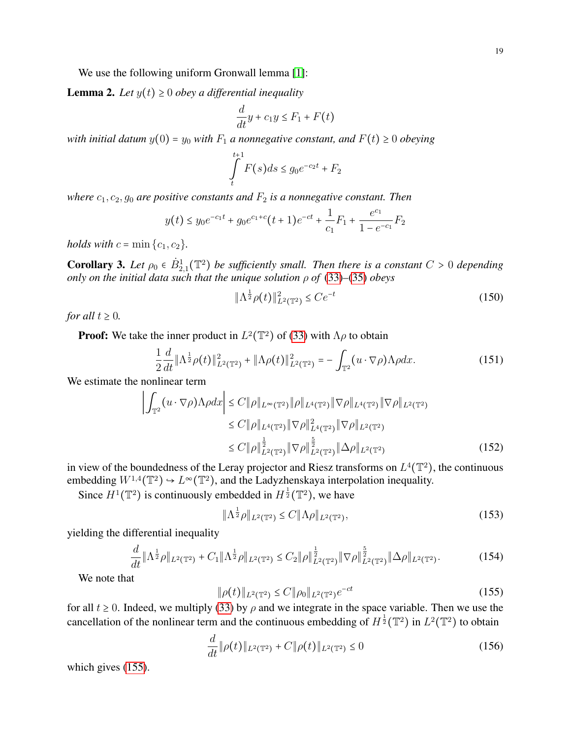<span id="page-18-2"></span>**Lemma 2.** Let  $y(t) \geq 0$  obey a differential inequality

$$
\frac{d}{dt}y + c_1y \le F_1 + F(t)
$$

*with initial datum*  $y(0) = y_0$  *with*  $F_1$  *a nonnegative constant, and*  $F(t) \ge 0$  *obeying* 

$$
\int_{t}^{t+1} F(s)ds \le g_0 e^{-c_2 t} + F_2
$$

*where*  $c_1$ ,  $c_2$ ,  $g_0$  *are positive constants and*  $F_2$  *is a nonnegative constant. Then* 

$$
y(t) \le y_0 e^{-c_1 t} + g_0 e^{c_1 + c} (t+1) e^{-ct} + \frac{1}{c_1} F_1 + \frac{e^{c_1}}{1 - e^{-c_1}} F_2
$$

*holds with*  $c = \min\{c_1, c_2\}$ .

**Corollary 3.** Let  $\rho_0 \in \dot{B}_{2,1}^1(\mathbb{T}^2)$  be sufficiently small. Then there is a constant  $C > 0$  depending *only on the initial data such that the unique solution*  $\rho$  *of* [\(33\)](#page-4-1)–[\(35\)](#page-4-2) *obeys* 

<span id="page-18-3"></span>
$$
\|\Lambda^{\frac{1}{2}}\rho(t)\|_{L^2(\mathbb{T}^2)}^2 \le Ce^{-t} \tag{150}
$$

*for all*  $t \geq 0$ *.* 

**Proof:** We take the inner product in  $L^2(\mathbb{T}^2)$  of [\(33\)](#page-4-1) with  $\Lambda \rho$  to obtain

$$
\frac{1}{2}\frac{d}{dt}\|\Lambda^{\frac{1}{2}}\rho(t)\|_{L^{2}(\mathbb{T}^{2})}^{2} + \|\Lambda\rho(t)\|_{L^{2}(\mathbb{T}^{2})}^{2} = -\int_{\mathbb{T}^{2}} (u\cdot\nabla\rho)\Lambda\rho dx.
$$
 (151)

We estimate the nonlinear term

$$
\left| \int_{\mathbb{T}^2} (u \cdot \nabla \rho) \Lambda \rho dx \right| \le C \|\rho\|_{L^{\infty}(\mathbb{T}^2)} \|\rho\|_{L^4(\mathbb{T}^2)} \|\nabla \rho\|_{L^4(\mathbb{T}^2)} \|\nabla \rho\|_{L^2(\mathbb{T}^2)} \n\le C \|\rho\|_{L^4(\mathbb{T}^2)} \|\nabla \rho\|_{L^4(\mathbb{T}^2)}^2 \|\nabla \rho\|_{L^2(\mathbb{T}^2)} \n\le C \|\rho\|_{L^2(\mathbb{T}^2)}^{\frac{1}{2}} \|\nabla \rho\|_{L^2(\mathbb{T}^2)}^{\frac{5}{2}} \|\Delta \rho\|_{L^2(\mathbb{T}^2)} \tag{152}
$$

in view of the boundedness of the Leray projector and Riesz transforms on  $L^4(\mathbb{T}^2)$ , the continuous embedding  $W^{1,4}(\mathbb{T}^2) \to L^\infty(\mathbb{T}^2)$ , and the Ladyzhenskaya interpolation inequality.

Since  $H^1(\mathbb{T}^2)$  is continuously embedded in  $H^{\frac{1}{2}}(\mathbb{T}^2)$ , we have

$$
\|\Lambda^{\frac{1}{2}}\rho\|_{L^2(\mathbb{T}^2)} \le C\|\Lambda\rho\|_{L^2(\mathbb{T}^2)},\tag{153}
$$

yielding the differential inequality

<span id="page-18-1"></span>
$$
\frac{d}{dt} \|\Lambda^{\frac{1}{2}}\rho\|_{L^{2}(\mathbb{T}^{2})} + C_{1} \|\Lambda^{\frac{1}{2}}\rho\|_{L^{2}(\mathbb{T}^{2})} \leq C_{2} \|\rho\|_{L^{2}(\mathbb{T}^{2})}^{\frac{1}{2}} \|\nabla\rho\|_{L^{2}(\mathbb{T}^{2})}^{\frac{5}{2}} \|\Delta\rho\|_{L^{2}(\mathbb{T}^{2})}. \tag{154}
$$

We note that

<span id="page-18-0"></span>
$$
\|\rho(t)\|_{L^2(\mathbb{T}^2)} \le C \|\rho_0\|_{L^2(\mathbb{T}^2)} e^{-ct} \tag{155}
$$

for all  $t \ge 0$ . Indeed, we multiply [\(33\)](#page-4-1) by  $\rho$  and we integrate in the space variable. Then we use the cancellation of the nonlinear term and the continuous embedding of  $H^{\frac{1}{2}}(\mathbb{T}^2)$  in  $L^2(\mathbb{T}^2)$  to obtain

$$
\frac{d}{dt} \|\rho(t)\|_{L^2(\mathbb{T}^2)} + C \|\rho(t)\|_{L^2(\mathbb{T}^2)} \le 0 \tag{156}
$$

which gives [\(155\)](#page-18-0).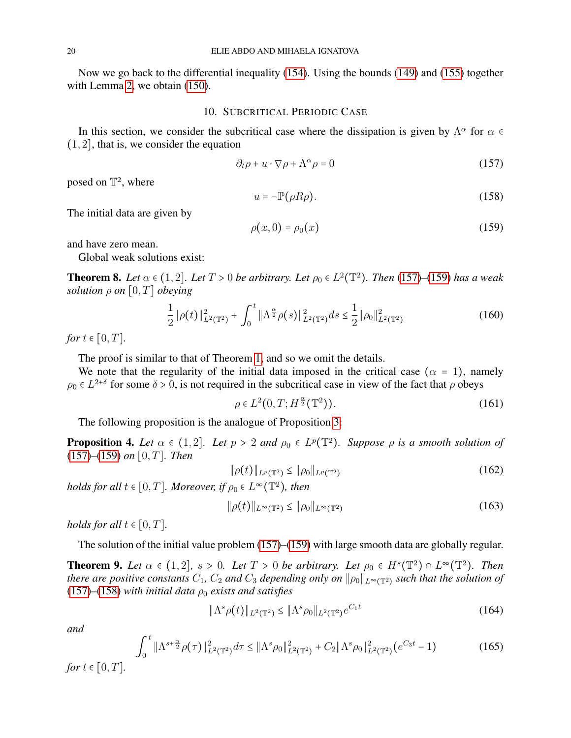Now we go back to the differential inequality [\(154\)](#page-18-1). Using the bounds [\(149\)](#page-17-2) and [\(155\)](#page-18-0) together with Lemma [2,](#page-18-2) we obtain [\(150\)](#page-18-3).

#### 10. SUBCRITICAL PERIODIC CASE

<span id="page-19-0"></span>In this section, we consider the subcritical case where the dissipation is given by  $\Lambda^{\alpha}$  for  $\alpha \in \Lambda$  $(1, 2]$ , that is, we consider the equation

<span id="page-19-1"></span>
$$
\partial_t \rho + u \cdot \nabla \rho + \Lambda^\alpha \rho = 0 \tag{157}
$$

posed on  $\mathbb{T}^2$ , where

<span id="page-19-3"></span>
$$
u = -\mathbb{P}(\rho R \rho). \tag{158}
$$

The initial data are given by

<span id="page-19-2"></span>
$$
\rho(x,0) = \rho_0(x) \tag{159}
$$

and have zero mean.

Global weak solutions exist:

**Theorem 8.** Let  $\alpha \in (1, 2]$ . Let  $T > 0$  be arbitrary. Let  $\rho_0 \in L^2(\mathbb{T}^2)$ . Then [\(157\)](#page-19-1)–[\(159\)](#page-19-2) has a weak *solution*  $\rho$  *on*  $[0, T]$  *obeying* 

$$
\frac{1}{2} \|\rho(t)\|_{L^2(\mathbb{T}^2)}^2 + \int_0^t \|\Lambda^{\frac{\alpha}{2}} \rho(s)\|_{L^2(\mathbb{T}^2)}^2 ds \le \frac{1}{2} \|\rho_0\|_{L^2(\mathbb{T}^2)}^2 \tag{160}
$$

*for*  $t \in [0, T]$ *.* 

The proof is similar to that of Theorem [1,](#page-4-6) and so we omit the details.

We note that the regularity of the initial data imposed in the critical case ( $\alpha = 1$ ), namely  $\rho_0 \in L^{2+\delta}$  for some  $\delta > 0$ , is not required in the subcritical case in view of the fact that  $\rho$  obeys

$$
\rho \in L^2(0, T; H^{\frac{\alpha}{2}}(\mathbb{T}^2)). \tag{161}
$$

The following proposition is the analogue of Proposition [3:](#page-5-7)

<span id="page-19-4"></span>**Proposition 4.** Let  $\alpha \in (1,2]$ . Let  $p > 2$  and  $\rho_0 \in L^p(\mathbb{T}^2)$ . Suppose  $\rho$  is a smooth solution of [\(157\)](#page-19-1)*–*[\(159\)](#page-19-2) *on* [0, T]*. Then*

$$
\|\rho(t)\|_{L^p(\mathbb{T}^2)} \le \|\rho_0\|_{L^p(\mathbb{T}^2)}\tag{162}
$$

*holds for all*  $t \in [0, T]$ *. Moreover, if*  $\rho_0 \in L^{\infty}(\mathbb{T}^2)$ *, then* 

 $\|\rho(t)\|_{L^{\infty}(\mathbb{T}^2)} \leq \|\rho_0\|_{L^{\infty}(\mathbb{T}^2)}$ (163)

*holds for all*  $t \in [0, T]$ *.* 

The solution of the initial value problem [\(157\)](#page-19-1)–[\(159\)](#page-19-2) with large smooth data are globally regular.

**Theorem 9.** Let  $\alpha \in (1,2]$ ,  $s > 0$ . Let  $T > 0$  be arbitrary. Let  $\rho_0 \in H^s(\mathbb{T}^2) \cap L^{\infty}(\mathbb{T}^2)$ . Then *there are positive constants*  $C_1$ ,  $C_2$  *and*  $C_3$  *depending only on*  $\|\rho_0\|_{L^\infty(\mathbb{T}^2)}$  *such that the solution of*  $(157)$ – $(158)$  *with initial data*  $\rho_0$  *exists and satisfies* 

<span id="page-19-5"></span>
$$
\|\Lambda^s \rho(t)\|_{L^2(\mathbb{T}^2)} \le \|\Lambda^s \rho_0\|_{L^2(\mathbb{T}^2)} e^{C_1 t} \tag{164}
$$

*and*

<span id="page-19-6"></span>
$$
\int_0^t \|\Lambda^{s+\frac{\alpha}{2}}\rho(\tau)\|_{L^2(\mathbb{T}^2)}^2 d\tau \le \|\Lambda^s\rho_0\|_{L^2(\mathbb{T}^2)}^2 + C_2\|\Lambda^s\rho_0\|_{L^2(\mathbb{T}^2)}^2(e^{C_3 t} - 1)
$$
\n(165)

*for*  $t \in [0, T]$ *.*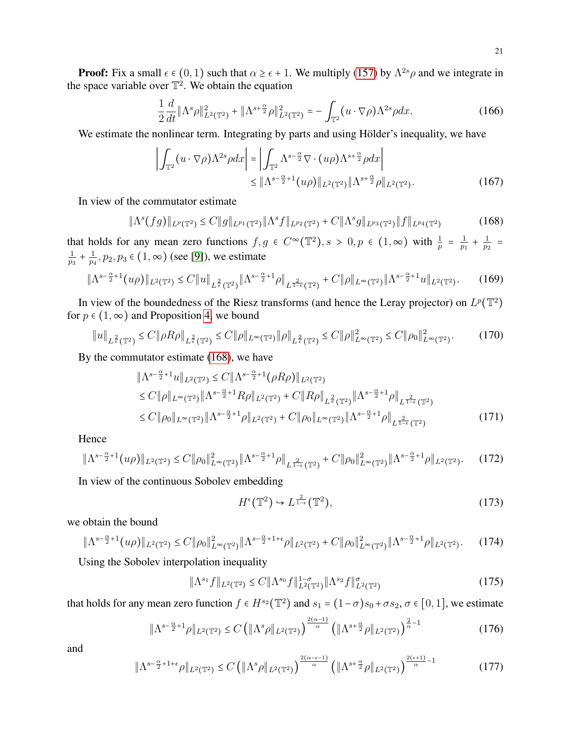**Proof:** Fix a small  $\epsilon \in (0, 1)$  such that  $\alpha \ge \epsilon + 1$ . We multiply [\(157\)](#page-19-1) by  $\Lambda^{2s}\rho$  and we integrate in the space variable over  $\mathbb{T}^2$ . We obtain the equation

$$
\frac{1}{2}\frac{d}{dt}\|\Lambda^s\rho\|_{L^2(\mathbb{T}^2)}^2 + \|\Lambda^{s+\frac{\alpha}{2}}\rho\|_{L^2(\mathbb{T}^2)}^2 = -\int_{\mathbb{T}^2} (u \cdot \nabla \rho)\Lambda^{2s}\rho dx.
$$
 (166)

We estimate the nonlinear term. Integrating by parts and using Hölder's inequality, we have

$$
\left| \int_{\mathbb{T}^2} (u \cdot \nabla \rho) \Lambda^{2s} \rho dx \right| = \left| \int_{\mathbb{T}^2} \Lambda^{s - \frac{\alpha}{2}} \nabla \cdot (u\rho) \Lambda^{s + \frac{\alpha}{2}} \rho dx \right|
$$
  
\$\leq \|\Lambda^{s - \frac{\alpha}{2} + 1}(u\rho)\|\_{L^2(\mathbb{T}^2)} \|\Lambda^{s + \frac{\alpha}{2}} \rho\|\_{L^2(\mathbb{T}^2)}. (167)

In view of the commutator estimate

<span id="page-20-0"></span>
$$
\|\Lambda^s(fg)\|_{L^p(\mathbb{T}^2)} \leq C \|g\|_{L^{p_1}(\mathbb{T}^2)} \|\Lambda^s f\|_{L^{p_2}(\mathbb{T}^2)} + C \|\Lambda^s g\|_{L^{p_3}(\mathbb{T}^2)} \|f\|_{L^{p_4}(\mathbb{T}^2)}\tag{168}
$$

that holds for any mean zero functions  $f, g \in C^{\infty}(\mathbb{T}^2), s > 0, p \in (1, \infty)$  with  $\frac{1}{p} = \frac{1}{p_1}$  $\frac{1}{p_1} + \frac{1}{p_2}$  $\frac{1}{p_2}$  = 1  $\frac{1}{p_3} + \frac{1}{p_4}$  $\frac{1}{p_4}, p_2, p_3 \in (1, \infty)$  (see [\[9\]](#page-26-6)), we estimate

$$
\|\Lambda^{s-\frac{\alpha}{2}+1}(u\rho)\|_{L^{2}(\mathbb{T}^2)} \leq C\|u\|_{L^{\frac{2}{\epsilon}}(\mathbb{T}^2)}\|\Lambda^{s-\frac{\alpha}{2}+1}\rho\|_{L^{\frac{2}{1-\epsilon}}(\mathbb{T}^2)} + C\|\rho\|_{L^{\infty}(\mathbb{T}^2)}\|\Lambda^{s-\frac{\alpha}{2}+1}u\|_{L^{2}(\mathbb{T}^2)}. \tag{169}
$$

In view of the boundedness of the Riesz transforms (and hence the Leray projector) on  $L^p(\mathbb{T}^2)$ for  $p \in (1, \infty)$  and Proposition [4,](#page-19-4) we bound

$$
\|u\|_{L^{\frac{2}{\epsilon}}(\mathbb{T}^2)} \le C \|\rho R\rho\|_{L^{\frac{2}{\epsilon}}(\mathbb{T}^2)} \le C \|\rho\|_{L^{\infty}(\mathbb{T}^2)} \|\rho\|_{L^{\frac{2}{\epsilon}}(\mathbb{T}^2)} \le C \|\rho\|_{L^{\infty}(\mathbb{T}^2)}^2 \le C \|\rho_0\|_{L^{\infty}(\mathbb{T}^2)}^2. \tag{170}
$$

By the commutator estimate [\(168\)](#page-20-0), we have

$$
\|\Lambda^{s-\frac{\alpha}{2}+1}u\|_{L^{2}(\mathbb{T}^{2})} \leq C\|\Lambda^{s-\frac{\alpha}{2}+1}(\rho R\rho)\|_{L^{2}(\mathbb{T}^{2})}
$$
  
\n
$$
\leq C\|\rho\|_{L^{\infty}(\mathbb{T}^{2})}\|\Lambda^{s-\frac{\alpha}{2}+1}R\rho\|_{L^{2}(\mathbb{T}^{2})} + C\|R\rho\|_{L^{\frac{2}{\epsilon}}(\mathbb{T}^{2})}\|\Lambda^{s-\frac{\alpha}{2}+1}\rho\|_{L^{\frac{2}{1-\epsilon}}(\mathbb{T}^{2})}
$$
  
\n
$$
\leq C\|\rho_{0}\|_{L^{\infty}(\mathbb{T}^{2})}\|\Lambda^{s-\frac{\alpha}{2}+1}\rho\|_{L^{2}(\mathbb{T}^{2})} + C\|\rho_{0}\|_{L^{\infty}(\mathbb{T}^{2})}\|\Lambda^{s-\frac{\alpha}{2}+1}\rho\|_{L^{\frac{2}{1-\epsilon}}(\mathbb{T}^{2})}
$$
\n(171)

Hence

$$
\|\Lambda^{s-\frac{\alpha}{2}+1}(u\rho)\|_{L^{2}(\mathbb{T}^2)} \leq C\|\rho_0\|_{L^{\infty}(\mathbb{T}^2)}^2 \|\Lambda^{s-\frac{\alpha}{2}+1}\rho\|_{L^{\frac{2}{1-\epsilon}}(\mathbb{T}^2)} + C\|\rho_0\|_{L^{\infty}(\mathbb{T}^2)}^2 \|\Lambda^{s-\frac{\alpha}{2}+1}\rho\|_{L^{2}(\mathbb{T}^2)}. \tag{172}
$$

In view of the continuous Sobolev embedding

$$
H^{\epsilon}(\mathbb{T}^2) \hookrightarrow L^{\frac{2}{1-\epsilon}}(\mathbb{T}^2),\tag{173}
$$

we obtain the bound

$$
\|\Lambda^{s-\frac{\alpha}{2}+1}(u\rho)\|_{L^{2}(\mathbb{T}^{2})} \leq C\|\rho_{0}\|_{L^{\infty}(\mathbb{T}^{2})}^{2}\|\Lambda^{s-\frac{\alpha}{2}+1+\epsilon}\rho\|_{L^{2}(\mathbb{T}^{2})}+C\|\rho_{0}\|_{L^{\infty}(\mathbb{T}^{2})}^{2}\|\Lambda^{s-\frac{\alpha}{2}+1}\rho\|_{L^{2}(\mathbb{T}^{2})}.
$$
 (174)

Using the Sobolev interpolation inequality

$$
\|\Lambda^{s_1}f\|_{L^2(\mathbb{T}^2)} \le C\|\Lambda^{s_0}f\|_{L^2(\mathbb{T}^2)}^{1-\sigma}\|\Lambda^{s_2}f\|_{L^2(\mathbb{T}^2)}^{\sigma}
$$
\n(175)

that holds for any mean zero function  $f \in H^{s_2}(\mathbb{T}^2)$  and  $s_1 = (1 - \sigma)s_0 + \sigma s_2, \sigma \in [0, 1]$ , we estimate

$$
\|\Lambda^{s-\frac{\alpha}{2}+1}\rho\|_{L^2(\mathbb{T}^2)} \le C\left(\|\Lambda^s\rho\|_{L^2(\mathbb{T}^2)}\right)^{\frac{2(\alpha-1)}{\alpha}}\left(\|\Lambda^{s+\frac{\alpha}{2}}\rho\|_{L^2(\mathbb{T}^2)}\right)^{\frac{2}{\alpha}-1} \tag{176}
$$

$$
\|\Lambda^{s-\frac{\alpha}{2}+1+\epsilon}\rho\|_{L^2(\mathbb{T}^2)} \le C\left(\|\Lambda^s\rho\|_{L^2(\mathbb{T}^2)}\right)^{\frac{2(\alpha-\epsilon-1)}{\alpha}}\left(\|\Lambda^{s+\frac{\alpha}{2}}\rho\|_{L^2(\mathbb{T}^2)}\right)^{\frac{2(\epsilon+1)}{\alpha}-1} \tag{177}
$$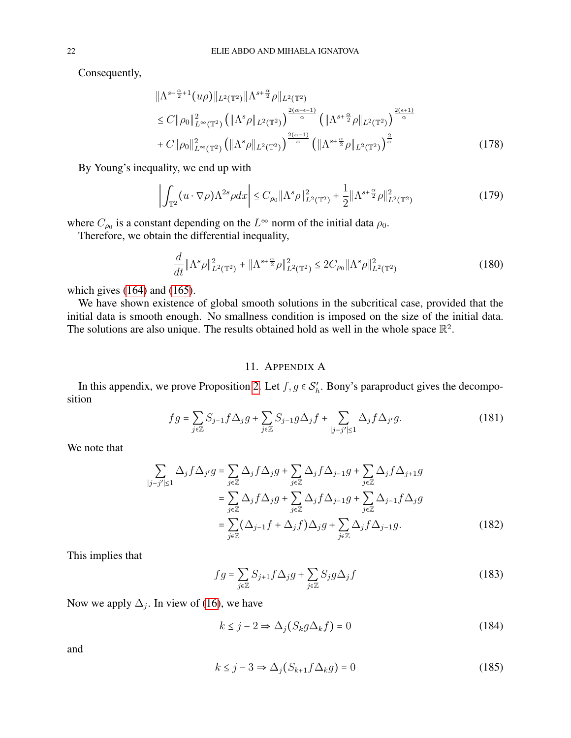Consequently,

$$
\|\Lambda^{s-\frac{\alpha}{2}+1}(u\rho)\|_{L^{2}(\mathbb{T}^{2})}\|\Lambda^{s+\frac{\alpha}{2}}\rho\|_{L^{2}(\mathbb{T}^{2})}\n\leq C\|\rho_{0}\|_{L^{\infty}(\mathbb{T}^{2})}^{2} \left(\|\Lambda^{s}\rho\|_{L^{2}(\mathbb{T}^{2})}\right)^{\frac{2(\alpha-\epsilon-1)}{\alpha}} \left(\|\Lambda^{s+\frac{\alpha}{2}}\rho\|_{L^{2}(\mathbb{T}^{2})}\right)^{\frac{2(\epsilon+1)}{\alpha}}\n+ C\|\rho_{0}\|_{L^{\infty}(\mathbb{T}^{2})}^{2} \left(\|\Lambda^{s}\rho\|_{L^{2}(\mathbb{T}^{2})}\right)^{\frac{2(\alpha-1)}{\alpha}} \left(\|\Lambda^{s+\frac{\alpha}{2}}\rho\|_{L^{2}(\mathbb{T}^{2})}\right)^{\frac{2}{\alpha}}
$$
\n(178)

By Young's inequality, we end up with

$$
\left| \int_{\mathbb{T}^2} (u \cdot \nabla \rho) \Lambda^{2s} \rho dx \right| \le C_{\rho_0} \|\Lambda^s \rho\|_{L^2(\mathbb{T}^2)}^2 + \frac{1}{2} \|\Lambda^{s + \frac{\alpha}{2}} \rho\|_{L^2(\mathbb{T}^2)}^2 \tag{179}
$$

where  $C_{\rho_0}$  is a constant depending on the  $L^{\infty}$  norm of the initial data  $\rho_0$ .

Therefore, we obtain the differential inequality,

$$
\frac{d}{dt} \|\Lambda^s \rho\|_{L^2(\mathbb{T}^2)}^2 + \|\Lambda^{s+\frac{\alpha}{2}} \rho\|_{L^2(\mathbb{T}^2)}^2 \le 2C_{\rho_0} \|\Lambda^s \rho\|_{L^2(\mathbb{T}^2)}^2 \tag{180}
$$

which gives [\(164\)](#page-19-5) and [\(165\)](#page-19-6).

We have shown existence of global smooth solutions in the subcritical case, provided that the initial data is smooth enough. No smallness condition is imposed on the size of the initial data. The solutions are also unique. The results obtained hold as well in the whole space  $\mathbb{R}^2$ .

### 11. APPENDIX A

In this appendix, we prove Proposition [2.](#page-3-6) Let  $f, g \in S_h'$  $h'$ . Bony's paraproduct gives the decomposition

$$
fg = \sum_{j\in\mathbb{Z}} S_{j-1} f \Delta_j g + \sum_{j\in\mathbb{Z}} S_{j-1} g \Delta_j f + \sum_{|j-j'|\leq 1} \Delta_j f \Delta_{j'} g.
$$
 (181)

We note that

$$
\sum_{|j-j'|\leq 1} \Delta_j f \Delta_{j'} g = \sum_{j\in \mathbb{Z}} \Delta_j f \Delta_j g + \sum_{j\in \mathbb{Z}} \Delta_j f \Delta_{j-1} g + \sum_{j\in \mathbb{Z}} \Delta_j f \Delta_{j+1} g
$$
  
\n
$$
= \sum_{j\in \mathbb{Z}} \Delta_j f \Delta_j g + \sum_{j\in \mathbb{Z}} \Delta_j f \Delta_{j-1} g + \sum_{j\in \mathbb{Z}} \Delta_{j-1} f \Delta_j g
$$
  
\n
$$
= \sum_{j\in \mathbb{Z}} (\Delta_{j-1} f + \Delta_j f) \Delta_j g + \sum_{j\in \mathbb{Z}} \Delta_j f \Delta_{j-1} g.
$$
 (182)

This implies that

$$
fg = \sum_{j \in \mathbb{Z}} S_{j+1} f \Delta_j g + \sum_{j \in \mathbb{Z}} S_j g \Delta_j f \tag{183}
$$

Now we apply  $\Delta_j$ . In view of [\(16\)](#page-2-1), we have

<span id="page-21-0"></span>
$$
k \le j - 2 \Rightarrow \Delta_j (S_k g \Delta_k f) = 0 \tag{184}
$$

<span id="page-21-1"></span>
$$
k \le j - 3 \Rightarrow \Delta_j(S_{k+1}f \Delta_k g) = 0 \tag{185}
$$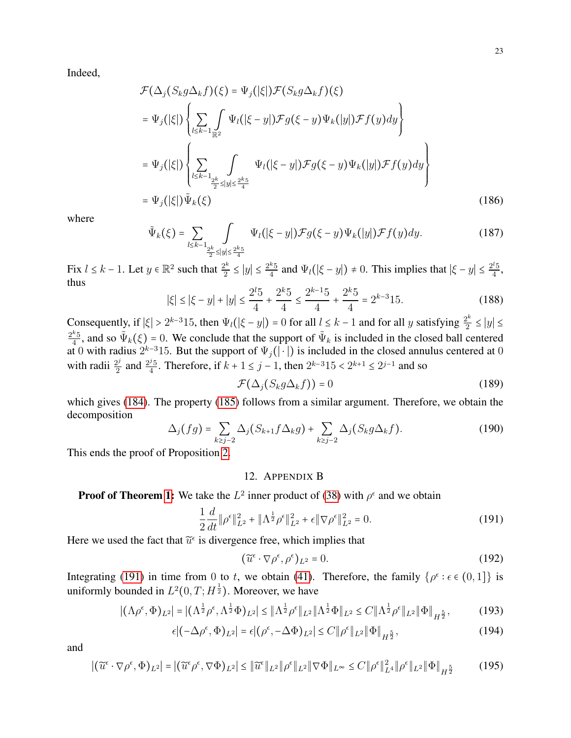Indeed,

$$
\mathcal{F}(\Delta_j(S_k g \Delta_k f)(\xi) = \Psi_j(|\xi|) \mathcal{F}(S_k g \Delta_k f)(\xi)
$$
\n
$$
= \Psi_j(|\xi|) \left\{ \sum_{l \le k-1} \int_{\mathbb{R}^2} \Psi_l(|\xi - y|) \mathcal{F}g(\xi - y) \Psi_k(|y|) \mathcal{F}f(y) dy \right\}
$$
\n
$$
= \Psi_j(|\xi|) \left\{ \sum_{l \le k-1} \int_{\frac{2k}{2} \le |y| \le \frac{2k5}{4}} \Psi_l(|\xi - y|) \mathcal{F}g(\xi - y) \Psi_k(|y|) \mathcal{F}f(y) dy \right\}
$$
\n
$$
= \Psi_j(|\xi|) \tilde{\Psi}_k(\xi)
$$
\n(186)

where

$$
\tilde{\Psi}_k(\xi) = \sum_{l \le k-1} \int_{\frac{2^k}{2} \le |y| \le \frac{2^k 5}{4}} \Psi_l(|\xi - y|) \mathcal{F}g(\xi - y) \Psi_k(|y|) \mathcal{F}f(y) dy.
$$
\n(187)

Fix  $l \leq k-1$ . Let  $y \in \mathbb{R}^2$  such that  $\frac{2^k}{2}$  $\frac{2^k}{2} \le |y| \le \frac{2^k 5}{4}$  $\frac{k_5}{4}$  and  $\Psi_l(|\xi - y|) \neq 0$ . This implies that  $|\xi - y| \leq \frac{2^l 5}{4}$  $\frac{15}{4}$ , thus

$$
|\xi| \le |\xi - y| + |y| \le \frac{2^l 5}{4} + \frac{2^{k} 5}{4} \le \frac{2^{k-1} 5}{4} + \frac{2^{k} 5}{4} = 2^{k-3} 15. \tag{188}
$$

Consequently, if  $|\xi| > 2^{k-3}15$ , then  $\Psi_l(|\xi - y|) = 0$  for all  $l \leq k-1$  and for all y satisfying  $\frac{2^k}{2}$  $\frac{2^{k}}{2} \leq |y| \leq$  $2^k5$  $\frac{k_5}{4}$ , and so  $\tilde{\Psi}_k(\xi) = 0$ . We conclude that the support of  $\tilde{\Psi}_k$  is included in the closed ball centered at 0 with radius  $2^{k-3}15$ . But the support of  $\Psi_j(|\cdot|)$  is included in the closed annulus centered at 0 with radii  $\frac{2^j}{2}$  $\frac{2^j}{2}$  and  $\frac{2^j 5}{4}$ <sup>2</sup><sub>5</sub>. Therefore, if  $k + 1 \le j - 1$ , then  $2^{k-3}15 < 2^{k+1} \le 2^{j-1}$  and so

$$
\mathcal{F}(\Delta_j(S_k g \Delta_k f)) = 0 \tag{189}
$$

which gives [\(184\)](#page-21-0). The property [\(185\)](#page-21-1) follows from a similar argument. Therefore, we obtain the decomposition

$$
\Delta_j(fg) = \sum_{k \ge j-2} \Delta_j(S_{k+1}f\Delta_k g) + \sum_{k \ge j-2} \Delta_j(S_k g \Delta_k f). \tag{190}
$$

This ends the proof of Proposition [2.](#page-3-6)

# 12. APPENDIX B

**Proof of Theorem [1:](#page-4-6)** We take the  $L^2$  inner product of [\(38\)](#page-4-3) with  $\rho^{\epsilon}$  and we obtain

<span id="page-22-0"></span>
$$
\frac{1}{2}\frac{d}{dt}\|\rho^{\epsilon}\|_{L^{2}}^{2} + \|\Lambda^{\frac{1}{2}}\rho^{\epsilon}\|_{L^{2}}^{2} + \epsilon\|\nabla\rho^{\epsilon}\|_{L^{2}}^{2} = 0.
$$
\n(191)

Here we used the fact that  $\tilde{u}^{\epsilon}$  is divergence free, which implies that

$$
(\widetilde{u}^{\epsilon} \cdot \nabla \rho^{\epsilon}, \rho^{\epsilon})_{L^2} = 0. \tag{192}
$$

Integrating [\(191\)](#page-22-0) in time from 0 to t, we obtain [\(41\)](#page-4-7). Therefore, the family  $\{\rho^{\epsilon} : \epsilon \in (0,1]\}$  is uniformly bounded in  $L^2(0,T;H^{\frac{1}{2}})$ . Moreover, we have

$$
|(\Lambda \rho^{\epsilon}, \Phi)_{L^{2}}| = |(\Lambda^{\frac{1}{2}} \rho^{\epsilon}, \Lambda^{\frac{1}{2}} \Phi)_{L^{2}}| \leq \|\Lambda^{\frac{1}{2}} \rho^{\epsilon}\|_{L^{2}} \|\Lambda^{\frac{1}{2}} \Phi\|_{L^{2}} \leq C \|\Lambda^{\frac{1}{2}} \rho^{\epsilon}\|_{L^{2}} \|\Phi\|_{H^{\frac{5}{2}}},
$$
(193)

$$
\epsilon |(-\Delta \rho^{\epsilon}, \Phi)_{L^2}| = \epsilon |(\rho^{\epsilon}, -\Delta \Phi)_{L^2}| \le C ||\rho^{\epsilon}||_{L^2} ||\Phi||_{H^{\frac{5}{2}}},
$$
\n(194)

$$
\left| \left( \widetilde{u}^{\epsilon} \cdot \nabla \rho^{\epsilon}, \Phi \right)_{L^{2}} \right| = \left| \left( \widetilde{u}^{\epsilon} \rho^{\epsilon}, \nabla \Phi \right)_{L^{2}} \right| \leq \left\| \widetilde{u}^{\epsilon} \right\|_{L^{2}} \left\| \rho^{\epsilon} \right\|_{L^{2}} \left\| \nabla \Phi \right\|_{L^{\infty}} \leq C \left\| \rho^{\epsilon} \right\|_{L^{4}}^{2} \left\| \rho^{\epsilon} \right\|_{L^{2}} \left\| \Phi \right\|_{H^{\frac{5}{2}}} \tag{195}
$$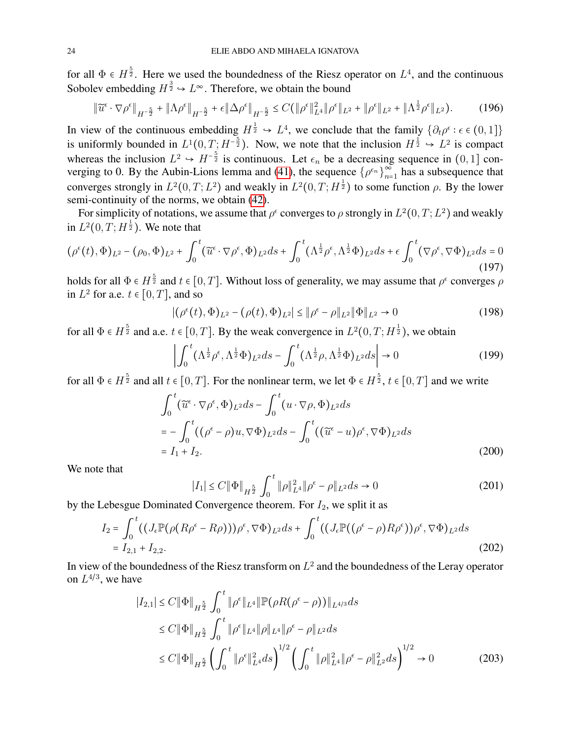for all  $\Phi \in H^{\frac{5}{2}}$ . Here we used the boundedness of the Riesz operator on  $L^4$ , and the continuous Sobolev embedding  $H^{\frac{3}{2}} \hookrightarrow L^{\infty}$ . Therefore, we obtain the bound

$$
\|\widetilde{u}^{\epsilon} \cdot \nabla \rho^{\epsilon}\|_{H^{-\frac{5}{2}}} + \|\Lambda \rho^{\epsilon}\|_{H^{-\frac{5}{2}}} + \epsilon \|\Delta \rho^{\epsilon}\|_{H^{-\frac{5}{2}}} \leq C(\|\rho^{\epsilon}\|_{L^{4}}^2 \|\rho^{\epsilon}\|_{L^{2}} + \|\rho^{\epsilon}\|_{L^{2}} + \|\Lambda^{\frac{1}{2}} \rho^{\epsilon}\|_{L^{2}}). \tag{196}
$$

In view of the continuous embedding  $H^{\frac{1}{2}} \hookrightarrow L^4$ , we conclude that the family  $\{\partial_t \rho^{\epsilon} : \epsilon \in (0,1]\}$ is uniformly bounded in  $L^1(0,T;H^{-\frac{5}{2}})$ . Now, we note that the inclusion  $H^{\frac{1}{2}} \hookrightarrow L^2$  is compact whereas the inclusion  $L^2 \hookrightarrow H^{-\frac{5}{2}}$  is continuous. Let  $\epsilon_n$  be a decreasing sequence in  $(0,1]$  con-verging to 0. By the Aubin-Lions lemma and [\(41\)](#page-4-7), the sequence  $\{\rho^{\epsilon_n}\}_{n=1}^{\infty}$  $\sum_{n=1}^{\infty}$  has a subsequence that converges strongly in  $L^2(0,T;L^2)$  and weakly in  $L^2(0,T;H^{\frac{1}{2}})$  to some function  $\rho$ . By the lower semi-continuity of the norms, we obtain [\(42\)](#page-4-8).

For simplicity of notations, we assume that  $\rho^{\epsilon}$  converges to  $\rho$  strongly in  $L^2(0,T;L^2)$  and weakly in  $L^2(0,T;H^{\frac{1}{2}})$ . We note that

$$
(\rho^{\epsilon}(t),\Phi)_{L^{2}} - (\rho_{0},\Phi)_{L^{2}} + \int_{0}^{t} (\widetilde{u}^{\epsilon} \cdot \nabla \rho^{\epsilon},\Phi)_{L^{2}} ds + \int_{0}^{t} (\Lambda^{\frac{1}{2}} \rho^{\epsilon},\Lambda^{\frac{1}{2}} \Phi)_{L^{2}} ds + \epsilon \int_{0}^{t} (\nabla \rho^{\epsilon},\nabla \Phi)_{L^{2}} ds = 0
$$
\n(197)

holds for all  $\Phi \in H^{\frac{5}{2}}$  and  $t \in [0,T]$ . Without loss of generality, we may assume that  $\rho^{\epsilon}$  converges  $\rho$ in  $L^2$  for a.e.  $t \in [0, T]$ , and so

$$
|(\rho^{\epsilon}(t), \Phi)_{L^{2}} - (\rho(t), \Phi)_{L^{2}}| \leq \|\rho^{\epsilon} - \rho\|_{L^{2}} \|\Phi\|_{L^{2}} \to 0
$$
\n(198)

for all  $\Phi \in H^{\frac{5}{2}}$  and a.e.  $t \in [0, T]$ . By the weak convergence in  $L^2(0, T; H^{\frac{1}{2}})$ , we obtain

$$
\left| \int_0^t (\Lambda^{\frac{1}{2}} \rho^\epsilon, \Lambda^{\frac{1}{2}} \Phi)_{L^2} ds - \int_0^t (\Lambda^{\frac{1}{2}} \rho, \Lambda^{\frac{1}{2}} \Phi)_{L^2} ds \right| \to 0 \tag{199}
$$

for all  $\Phi \in H^{\frac{5}{2}}$  and all  $t \in [0,T]$ . For the nonlinear term, we let  $\Phi \in H^{\frac{5}{2}}$ ,  $t \in [0,T]$  and we write

$$
\int_0^t (\widetilde{u}^{\epsilon} \cdot \nabla \rho^{\epsilon}, \Phi)_{L^2} ds - \int_0^t (u \cdot \nabla \rho, \Phi)_{L^2} ds
$$
  
= 
$$
- \int_0^t ((\rho^{\epsilon} - \rho)u, \nabla \Phi)_{L^2} ds - \int_0^t ((\widetilde{u}^{\epsilon} - u)\rho^{\epsilon}, \nabla \Phi)_{L^2} ds
$$
  
=  $I_1 + I_2.$  (200)

We note that

$$
|I_1| \le C \|\Phi\|_{H^{\frac{5}{2}}} \int_0^t \|\rho\|_{L^4}^2 \|\rho^{\epsilon} - \rho\|_{L^2} ds \to 0
$$
 (201)

by the Lebesgue Dominated Convergence theorem. For  $I_2$ , we split it as

$$
I_2 = \int_0^t \left( \left( J_\epsilon \mathbb{P}(\rho (R\rho^\epsilon - R\rho)) \rho^\epsilon, \nabla \Phi \right)_{L^2} ds + \int_0^t \left( \left( J_\epsilon \mathbb{P}((\rho^\epsilon - \rho) R\rho^\epsilon) \rho^\epsilon, \nabla \Phi \right)_{L^2} ds \right. \\ = I_{2,1} + I_{2,2}.
$$
 (202)

In view of the boundedness of the Riesz transform on  $L^2$  and the boundedness of the Leray operator on  $L^{4/3}$ , we have

$$
|I_{2,1}| \leq C \|\Phi\|_{H^{\frac{5}{2}}} \int_0^t \|\rho^{\epsilon}\|_{L^4} \|\mathbb{P}(\rho R(\rho^{\epsilon} - \rho))\|_{L^{4/3}} ds
$$
  
\n
$$
\leq C \|\Phi\|_{H^{\frac{5}{2}}} \int_0^t \|\rho^{\epsilon}\|_{L^4} \|\rho\|_{L^4} \|\rho^{\epsilon} - \rho\|_{L^2} ds
$$
  
\n
$$
\leq C \|\Phi\|_{H^{\frac{5}{2}}} \left( \int_0^t \|\rho^{\epsilon}\|_{L^4}^2 ds \right)^{1/2} \left( \int_0^t \|\rho\|_{L^4}^2 \|\rho^{\epsilon} - \rho\|_{L^2}^2 ds \right)^{1/2} \to 0
$$
 (203)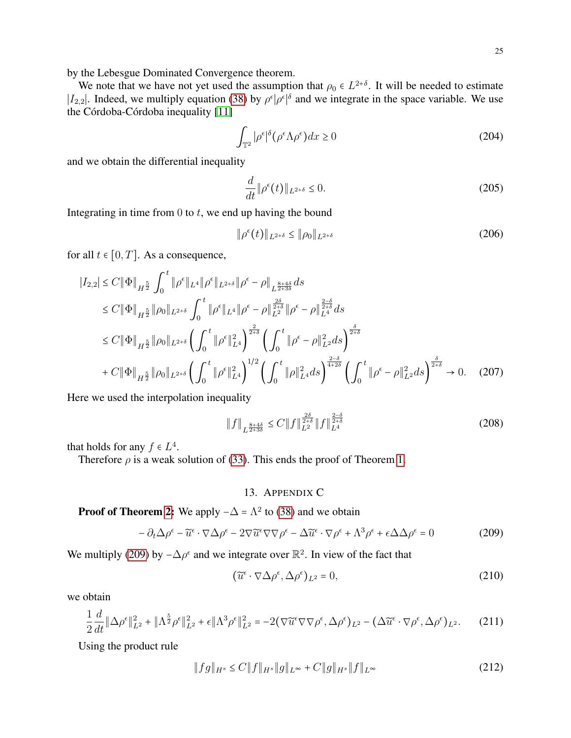by the Lebesgue Dominated Convergence theorem.

We note that we have not yet used the assumption that  $\rho_0 \in L^{2+\delta}$ . It will be needed to estimate  $|I_{2,2}|$ . Indeed, we multiply equation [\(38\)](#page-4-3) by  $\rho^{\epsilon}|\rho^{\epsilon}|^{\delta}$  and we integrate in the space variable. We use the Córdoba-Córdoba inequality  $[11]$ 

$$
\int_{\mathbb{T}^2} |\rho^{\epsilon}|^{\delta} (\rho^{\epsilon} \Lambda \rho^{\epsilon}) dx \ge 0
$$
\n(204)

and we obtain the differential inequality

$$
\frac{d}{dt} \|\rho^{\epsilon}(t)\|_{L^{2+\delta}} \le 0. \tag{205}
$$

Integrating in time from  $0$  to  $t$ , we end up having the bound

$$
\|\rho^{\epsilon}(t)\|_{L^{2+\delta}} \le \|\rho_0\|_{L^{2+\delta}} \tag{206}
$$

for all  $t \in [0, T]$ . As a consequence,

$$
|I_{2,2}| \leq C \|\Phi\|_{H^{\frac{5}{2}}} \int_0^t \|\rho^{\epsilon}\|_{L^4} \|\rho^{\epsilon} - \rho\|_{L^{\frac{8+4\delta}{2+3\delta}}} ds
$$
  
\n
$$
\leq C \|\Phi\|_{H^{\frac{5}{2}}} \|\rho_0\|_{L^{2+\delta}} \int_0^t \|\rho^{\epsilon}\|_{L^4} \|\rho^{\epsilon} - \rho\|_{L^2}^{\frac{2\delta}{2+\delta}} \|\rho^{\epsilon} - \rho\|_{L^4}^{\frac{2-\delta}{2+\delta}} ds
$$
  
\n
$$
\leq C \|\Phi\|_{H^{\frac{5}{2}}} \|\rho_0\|_{L^{2+\delta}} \left( \int_0^t \|\rho^{\epsilon}\|_{L^4}^2 \right)^{\frac{2}{2+\delta}} \left( \int_0^t \|\rho^{\epsilon} - \rho\|_{L^2}^2 ds \right)^{\frac{\delta}{2+\delta}}
$$
  
\n
$$
+ C \|\Phi\|_{H^{\frac{5}{2}}} \|\rho_0\|_{L^{2+\delta}} \left( \int_0^t \|\rho^{\epsilon}\|_{L^4}^2 \right)^{1/2} \left( \int_0^t \|\rho\|_{L^4}^2 ds \right)^{\frac{2-\delta}{4+2\delta}} \left( \int_0^t \|\rho^{\epsilon} - \rho\|_{L^2}^2 ds \right)^{\frac{\delta}{2+\delta}} \to 0. \quad (207)
$$

Here we used the interpolation inequality

$$
\|f\|_{L^{\frac{8+4\delta}{2+3\delta}}} \le C \|f\|_{L^2}^{\frac{2\delta}{2+\delta}} \|f\|_{L^4}^{\frac{2-\delta}{2+\delta}} \tag{208}
$$

that holds for any  $f \in L^4$ .

Therefore  $\rho$  is a weak solution of [\(33\)](#page-4-1). This ends the proof of Theorem [1.](#page-4-6)

# 13. APPENDIX C

# <span id="page-24-0"></span>**Proof of Theorem [2:](#page-5-8)** We apply  $-\Delta = \Lambda^2$  to [\(38\)](#page-4-3) and we obtain

<span id="page-24-1"></span>
$$
- \partial_t \Delta \rho^{\epsilon} - \widetilde{u}^{\epsilon} \cdot \nabla \Delta \rho^{\epsilon} - 2 \nabla \widetilde{u}^{\epsilon} \nabla \nabla \rho^{\epsilon} - \Delta \widetilde{u}^{\epsilon} \cdot \nabla \rho^{\epsilon} + \Lambda^3 \rho^{\epsilon} + \epsilon \Delta \Delta \rho^{\epsilon} = 0 \tag{209}
$$

We multiply [\(209\)](#page-24-1) by  $-\Delta \rho^{\epsilon}$  and we integrate over  $\mathbb{R}^2$ . In view of the fact that

$$
(\widetilde{u}^{\epsilon} \cdot \nabla \Delta \rho^{\epsilon}, \Delta \rho^{\epsilon})_{L^2} = 0, \qquad (210)
$$

we obtain

$$
\frac{1}{2}\frac{d}{dt}\|\Delta\rho^{\epsilon}\|_{L^{2}}^{2} + \|\Lambda^{\frac{5}{2}}\rho^{\epsilon}\|_{L^{2}}^{2} + \epsilon\|\Lambda^{3}\rho^{\epsilon}\|_{L^{2}}^{2} = -2(\nabla\widetilde{u}^{\epsilon}\nabla\nabla\rho^{\epsilon}, \Delta\rho^{\epsilon})_{L^{2}} - (\Delta\widetilde{u}^{\epsilon}\cdot\nabla\rho^{\epsilon}, \Delta\rho^{\epsilon})_{L^{2}}.\tag{211}
$$

Using the product rule

$$
||fg||_{H^s} \le C||f||_{H^s}||g||_{L^\infty} + C||g||_{H^s}||f||_{L^\infty}
$$
\n(212)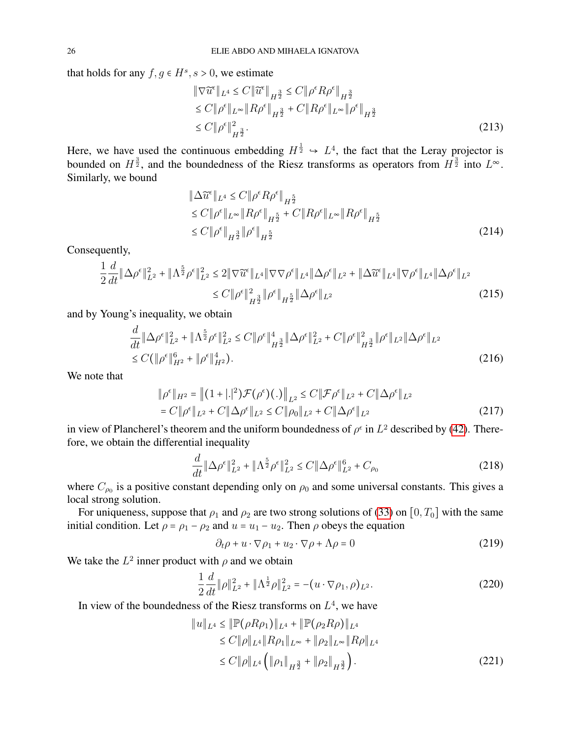that holds for any  $f, g \in H^s, s > 0$ , we estimate

$$
\|\nabla \widetilde{u}^{\epsilon}\|_{L^{4}} \leq C \|\widetilde{u}^{\epsilon}\|_{H^{\frac{3}{2}}} \leq C \|\rho^{\epsilon} R \rho^{\epsilon}\|_{H^{\frac{3}{2}}} \leq C \|\rho^{\epsilon}\|_{L^{\infty}} \|R \rho^{\epsilon}\|_{H^{\frac{3}{2}}} + C \|R \rho^{\epsilon}\|_{L^{\infty}} \|\rho^{\epsilon}\|_{H^{\frac{3}{2}}} \leq C \|\rho^{\epsilon}\|_{H^{\frac{3}{2}}}^{2}.
$$
\n(213)

Here, we have used the continuous embedding  $H^{\frac{1}{2}} \rightarrow L^{4}$ , the fact that the Leray projector is bounded on  $H^{\frac{3}{2}}$ , and the boundedness of the Riesz transforms as operators from  $H^{\frac{3}{2}}$  into  $L^{\infty}$ . Similarly, we bound

$$
\|\Delta \widetilde{u}^{\epsilon}\|_{L^{4}} \leq C \|\rho^{\epsilon} R \rho^{\epsilon}\|_{H^{\frac{5}{2}}} \n\leq C \|\rho^{\epsilon}\|_{L^{\infty}} \|R \rho^{\epsilon}\|_{H^{\frac{5}{2}}} + C \|R \rho^{\epsilon}\|_{L^{\infty}} \|R \rho^{\epsilon}\|_{H^{\frac{5}{2}}} \n\leq C \|\rho^{\epsilon}\|_{H^{\frac{3}{2}}} \|\rho^{\epsilon}\|_{H^{\frac{5}{2}}} \tag{214}
$$

Consequently,

$$
\frac{1}{2}\frac{d}{dt}\|\Delta\rho^{\epsilon}\|_{L^{2}}^{2} + \|\Lambda^{\frac{5}{2}}\rho^{\epsilon}\|_{L^{2}}^{2} \le 2\|\nabla\widetilde{u}^{\epsilon}\|_{L^{4}}\|\nabla\nabla\rho^{\epsilon}\|_{L^{4}}\|\Delta\rho^{\epsilon}\|_{L^{2}} + \|\Delta\widetilde{u}^{\epsilon}\|_{L^{4}}\|\nabla\rho^{\epsilon}\|_{L^{4}}\|\Delta\rho^{\epsilon}\|_{L^{2}}\le C\|\rho^{\epsilon}\|_{H^{\frac{5}{2}}}\|\Delta\rho^{\epsilon}\|_{L^{2}}\tag{215}
$$

and by Young's inequality, we obtain

$$
\frac{d}{dt} \|\Delta \rho^{\epsilon}\|_{L^{2}}^{2} + \|\Lambda^{\frac{5}{2}} \rho^{\epsilon}\|_{L^{2}}^{2} \leq C \|\rho^{\epsilon}\|_{H^{\frac{3}{2}}}^{4} \|\Delta \rho^{\epsilon}\|_{L^{2}}^{2} + C \|\rho^{\epsilon}\|_{H^{\frac{3}{2}}}^{2} \|\rho^{\epsilon}\|_{L^{2}} \|\Delta \rho^{\epsilon}\|_{L^{2}} \leq C (\|\rho^{\epsilon}\|_{H^{2}}^{6} + \|\rho^{\epsilon}\|_{H^{2}}^{4}).
$$
\n(216)

We note that

$$
\|\rho^{\epsilon}\|_{H^{2}} = \left\|(1+|.|^{2})\mathcal{F}(\rho^{\epsilon})(.)\right\|_{L^{2}} \leq C\|\mathcal{F}\rho^{\epsilon}\|_{L^{2}} + C\|\Delta\rho^{\epsilon}\|_{L^{2}}
$$
  
=  $C\|\rho^{\epsilon}\|_{L^{2}} + C\|\Delta\rho^{\epsilon}\|_{L^{2}} \leq C\|\rho_{0}\|_{L^{2}} + C\|\Delta\rho^{\epsilon}\|_{L^{2}}$  (217)

in view of Plancherel's theorem and the uniform boundedness of  $\rho^{\epsilon}$  in  $L^2$  described by [\(42\)](#page-4-8). Therefore, we obtain the differential inequality

$$
\frac{d}{dt} \|\Delta \rho^{\epsilon}\|_{L^{2}}^{2} + \|\Lambda^{\frac{5}{2}} \rho^{\epsilon}\|_{L^{2}}^{2} \le C \|\Delta \rho^{\epsilon}\|_{L^{2}}^{6} + C_{\rho_{0}}
$$
\n(218)

where  $C_{\rho_0}$  is a positive constant depending only on  $\rho_0$  and some universal constants. This gives a local strong solution.

For uniqueness, suppose that  $\rho_1$  and  $\rho_2$  are two strong solutions of [\(33\)](#page-4-1) on [0, T<sub>0</sub>] with the same initial condition. Let  $\rho = \rho_1 - \rho_2$  and  $u = u_1 - u_2$ . Then  $\rho$  obeys the equation

$$
\partial_t \rho + u \cdot \nabla \rho_1 + u_2 \cdot \nabla \rho + \Lambda \rho = 0 \tag{219}
$$

We take the  $L^2$  inner product with  $\rho$  and we obtain

$$
\frac{1}{2}\frac{d}{dt}\|\rho\|_{L^2}^2 + \|\Lambda^{\frac{1}{2}}\rho\|_{L^2}^2 = -(u\cdot\nabla\rho_1, \rho)_{L^2}.
$$
\n(220)

In view of the boundedness of the Riesz transforms on  $L<sup>4</sup>$ , we have

$$
||u||_{L^{4}} \leq ||\mathbb{P}(\rho R \rho_{1})||_{L^{4}} + ||\mathbb{P}(\rho_{2} R \rho)||_{L^{4}}\leq C||\rho||_{L^{4}}||R\rho_{1}||_{L^{\infty}} + ||\rho_{2}||_{L^{\infty}}||R\rho||_{L^{4}}\leq C||\rho||_{L^{4}} \left( ||\rho_{1}||_{H^{\frac{3}{2}}} + ||\rho_{2}||_{H^{\frac{3}{2}}} \right).
$$
\n(221)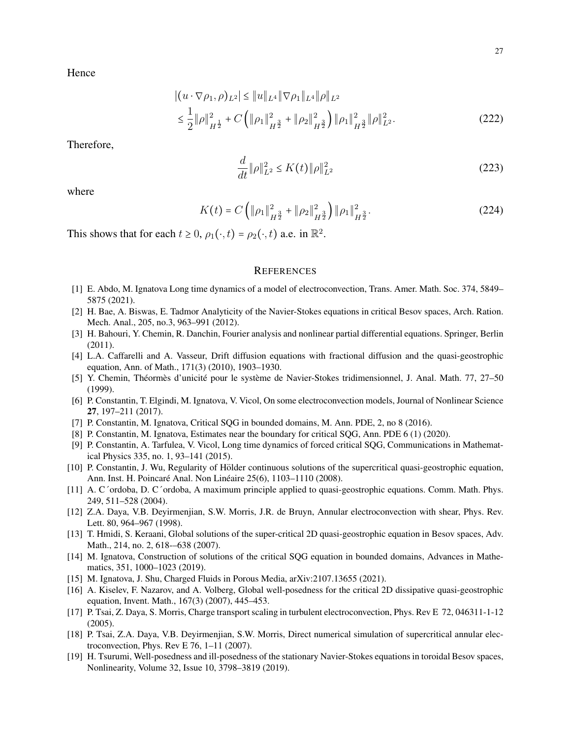Hence

$$
\begin{aligned} & \left| \left( u \cdot \nabla \rho_1, \rho \right)_{L^2} \right| \le \| u \|_{L^4} \| \nabla \rho_1 \|_{L^4} \| \rho \|_{L^2} \\ & \le \frac{1}{2} \| \rho \|_{H^{\frac{1}{2}}}^2 + C \left( \| \rho_1 \|_{H^{\frac{3}{2}}}^2 + \| \rho_2 \|_{H^{\frac{3}{2}}}^2 \right) \| \rho_1 \|_{H^{\frac{3}{2}}}^2 \| \rho \|_{L^2}^2. \end{aligned} \tag{222}
$$

Therefore,

$$
\frac{d}{dt} \|\rho\|_{L^2}^2 \le K(t) \|\rho\|_{L^2}^2 \tag{223}
$$

where

$$
K(t) = C \left( \|\rho_1\|_{H^{\frac{3}{2}}}^2 + \|\rho_2\|_{H^{\frac{3}{2}}}^2 \right) \|\rho_1\|_{H^{\frac{3}{2}}}^2.
$$
 (224)

This shows that for each  $t \ge 0$ ,  $\rho_1(\cdot, t) = \rho_2(\cdot, t)$  a.e. in  $\mathbb{R}^2$ .

# **REFERENCES**

- <span id="page-26-17"></span>[1] E. Abdo, M. Ignatova Long time dynamics of a model of electroconvection, Trans. Amer. Math. Soc. 374, 5849– 5875 (2021).
- <span id="page-26-14"></span>[2] H. Bae, A. Biswas, E. Tadmor Analyticity of the Navier-Stokes equations in critical Besov spaces, Arch. Ration. Mech. Anal., 205, no.3, 963–991 (2012).
- <span id="page-26-10"></span>[3] H. Bahouri, Y. Chemin, R. Danchin, Fourier analysis and nonlinear partial differential equations. Springer, Berlin (2011).
- <span id="page-26-8"></span>[4] L.A. Caffarelli and A. Vasseur, Drift diffusion equations with fractional diffusion and the quasi-geostrophic equation, Ann. of Math., 171(3) (2010), 1903–1930.
- <span id="page-26-15"></span>[5] Y. Chemin, Théormès d'unicité pour le système de Navier-Stokes tridimensionnel, J. Anal. Math. 77, 27-50 (1999).
- [6] P. Constantin, T. Elgindi, M. Ignatova, V. Vicol, On some electroconvection models, Journal of Nonlinear Science 27, 197–211 (2017).
- <span id="page-26-4"></span>[7] P. Constantin, M. Ignatova, Critical SOG in bounded domains, M. Ann. PDE, 2, no 8 (2016).
- <span id="page-26-5"></span>[8] P. Constantin, M. Ignatova, Estimates near the boundary for critical SQG, Ann. PDE 6 (1) (2020).
- <span id="page-26-6"></span>[9] P. Constantin, A. Tarfulea, V. Vicol, Long time dynamics of forced critical SQG, Communications in Mathematical Physics 335, no. 1, 93–141 (2015).
- <span id="page-26-16"></span>[10] P. Constantin, J. Wu, Regularity of Holder continuous solutions of the supercritical quasi-geostrophic equation, ¨ Ann. Inst. H. Poincaré Anal. Non Linéaire 25(6), 1103–1110 (2008).
- <span id="page-26-13"></span>[11] A. C´ordoba, D. C´ordoba, A maximum principle applied to quasi-geostrophic equations. Comm. Math. Phys. 249, 511–528 (2004).
- <span id="page-26-1"></span>[12] Z.A. Daya, V.B. Deyirmenjian, S.W. Morris, J.R. de Bruyn, Annular electroconvection with shear, Phys. Rev. Lett. 80, 964–967 (1998).
- <span id="page-26-11"></span>[13] T. Hmidi, S. Keraani, Global solutions of the super-critical 2D quasi-geostrophic equation in Besov spaces, Adv. Math., 214, no. 2, 618-–638 (2007).
- <span id="page-26-7"></span>[14] M. Ignatova, Construction of solutions of the critical SQG equation in bounded domains, Advances in Mathematics, 351, 1000–1023 (2019).
- <span id="page-26-3"></span>[15] M. Ignatova, J. Shu, Charged Fluids in Porous Media, arXiv:2107.13655 (2021).
- <span id="page-26-9"></span>[16] A. Kiselev, F. Nazarov, and A. Volberg, Global well-posedness for the critical 2D dissipative quasi-geostrophic equation, Invent. Math., 167(3) (2007), 445–453.
- <span id="page-26-0"></span>[17] P. Tsai, Z. Daya, S. Morris, Charge transport scaling in turbulent electroconvection, Phys. Rev E 72, 046311-1-12 (2005).
- <span id="page-26-2"></span>[18] P. Tsai, Z.A. Daya, V.B. Deyirmenjian, S.W. Morris, Direct numerical simulation of supercritical annular electroconvection, Phys. Rev E 76, 1–11 (2007).
- <span id="page-26-12"></span>[19] H. Tsurumi, Well-posedness and ill-posedness of the stationary Navier-Stokes equations in toroidal Besov spaces, Nonlinearity, Volume 32, Issue 10, 3798–3819 (2019).